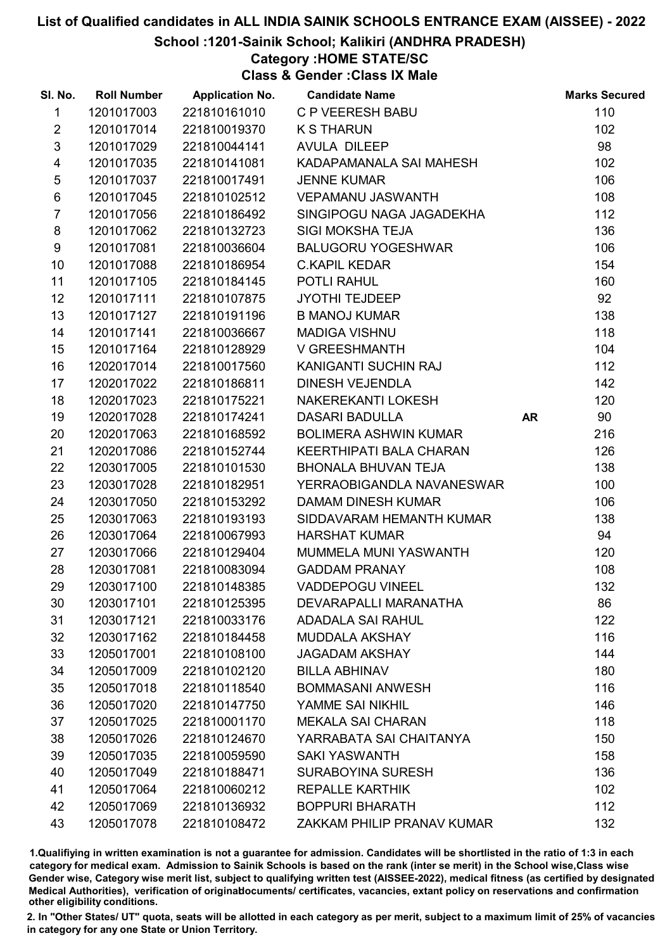School :1201-Sainik School; Kalikiri (ANDHRA PRADESH)

## Category :HOME STATE/SC

Class & Gender :Class IX Male

| SI. No.         | <b>Roll Number</b> | <b>Application No.</b> | <b>Candidate Name</b>        |           | <b>Marks Secured</b> |
|-----------------|--------------------|------------------------|------------------------------|-----------|----------------------|
| $\mathbf{1}$    | 1201017003         | 221810161010           | <b>C P VEERESH BABU</b>      |           | 110                  |
| $\overline{2}$  | 1201017014         | 221810019370           | <b>K S THARUN</b>            |           | 102                  |
| $\mathfrak{S}$  | 1201017029         | 221810044141           | <b>AVULA DILEEP</b>          |           | 98                   |
| $\overline{4}$  | 1201017035         | 221810141081           | KADAPAMANALA SAI MAHESH      |           | 102                  |
| $\sqrt{5}$      | 1201017037         | 221810017491           | <b>JENNE KUMAR</b>           |           | 106                  |
| $\,6$           | 1201017045         | 221810102512           | <b>VEPAMANU JASWANTH</b>     |           | 108                  |
| $\overline{7}$  | 1201017056         | 221810186492           | SINGIPOGU NAGA JAGADEKHA     |           | 112                  |
| 8               | 1201017062         | 221810132723           | <b>SIGI MOKSHA TEJA</b>      |           | 136                  |
| 9               | 1201017081         | 221810036604           | <b>BALUGORU YOGESHWAR</b>    |           | 106                  |
| 10              | 1201017088         | 221810186954           | <b>C.KAPIL KEDAR</b>         |           | 154                  |
| 11              | 1201017105         | 221810184145           | POTLI RAHUL                  |           | 160                  |
| 12 <sup>2</sup> | 1201017111         | 221810107875           | <b>JYOTHI TEJDEEP</b>        |           | 92                   |
| 13              | 1201017127         | 221810191196           | <b>B MANOJ KUMAR</b>         |           | 138                  |
| 14              | 1201017141         | 221810036667           | <b>MADIGA VISHNU</b>         |           | 118                  |
| 15              | 1201017164         | 221810128929           | V GREESHMANTH                |           | 104                  |
| 16              | 1202017014         | 221810017560           | KANIGANTI SUCHIN RAJ         |           | 112                  |
| 17              | 1202017022         | 221810186811           | <b>DINESH VEJENDLA</b>       |           | 142                  |
| 18              | 1202017023         | 221810175221           | NAKEREKANTI LOKESH           |           | 120                  |
| 19              | 1202017028         | 221810174241           | <b>DASARI BADULLA</b>        | <b>AR</b> | 90                   |
| 20              | 1202017063         | 221810168592           | <b>BOLIMERA ASHWIN KUMAR</b> |           | 216                  |
| 21              | 1202017086         | 221810152744           | KEERTHIPATI BALA CHARAN      |           | 126                  |
| 22              | 1203017005         | 221810101530           | <b>BHONALA BHUVAN TEJA</b>   |           | 138                  |
| 23              | 1203017028         | 221810182951           | YERRAOBIGANDLA NAVANESWAR    |           | 100                  |
| 24              | 1203017050         | 221810153292           | <b>DAMAM DINESH KUMAR</b>    |           | 106                  |
| 25              | 1203017063         | 221810193193           | SIDDAVARAM HEMANTH KUMAR     |           | 138                  |
| 26              | 1203017064         | 221810067993           | <b>HARSHAT KUMAR</b>         |           | 94                   |
| 27              | 1203017066         | 221810129404           | MUMMELA MUNI YASWANTH        |           | 120                  |
| 28              | 1203017081         | 221810083094           | <b>GADDAM PRANAY</b>         |           | 108                  |
| 29              | 1203017100         | 221810148385           | <b>VADDEPOGU VINEEL</b>      |           | 132                  |
| 30              | 1203017101         | 221810125395           | DEVARAPALLI MARANATHA        |           | 86                   |
| 31              | 1203017121         | 221810033176           | <b>ADADALA SAI RAHUL</b>     |           | 122                  |
| 32              | 1203017162         | 221810184458           | <b>MUDDALA AKSHAY</b>        |           | 116                  |
| 33              | 1205017001         | 221810108100           | <b>JAGADAM AKSHAY</b>        |           | 144                  |
| 34              | 1205017009         | 221810102120           | <b>BILLA ABHINAV</b>         |           | 180                  |
| 35              | 1205017018         | 221810118540           | <b>BOMMASANI ANWESH</b>      |           | 116                  |
| 36              | 1205017020         | 221810147750           | YAMME SAI NIKHIL             |           | 146                  |
| 37              | 1205017025         | 221810001170           | <b>MEKALA SAI CHARAN</b>     |           | 118                  |
| 38              | 1205017026         | 221810124670           | YARRABATA SAI CHAITANYA      |           | 150                  |
| 39              | 1205017035         | 221810059590           | <b>SAKI YASWANTH</b>         |           | 158                  |
| 40              | 1205017049         | 221810188471           | <b>SURABOYINA SURESH</b>     |           | 136                  |
| 41              | 1205017064         | 221810060212           | <b>REPALLE KARTHIK</b>       |           | 102                  |
| 42              | 1205017069         | 221810136932           | <b>BOPPURI BHARATH</b>       |           | 112                  |
| 43              | 1205017078         | 221810108472           | ZAKKAM PHILIP PRANAV KUMAR   |           | 132                  |

1.Qualifiying in written examination is not a guarantee for admission. Candidates will be shortlisted in the ratio of 1:3 in each category for medical exam. Admission to Sainik Schools is based on the rank (inter se merit) in the School wise,Class wise Gender wise, Category wise merit list, subject to qualifying written test (AISSEE-2022), medical fitness (as certified by designated Medical Authorities), verification of originablocuments/ certificates, vacancies, extant policy on reservations and confirmation other eligibility conditions.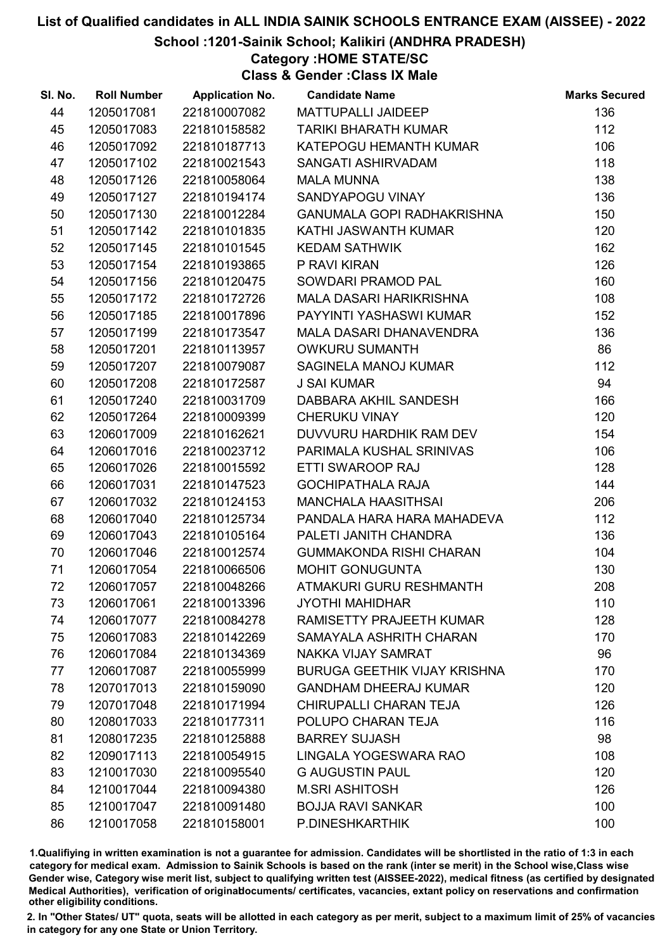#### School :1201-Sainik School; Kalikiri (ANDHRA PRADESH)

### Category :HOME STATE/SC

Class & Gender :Class IX Male

| SI. No. | <b>Roll Number</b> | <b>Application No.</b> | <b>Candidate Name</b>               | <b>Marks Secured</b> |
|---------|--------------------|------------------------|-------------------------------------|----------------------|
| 44      | 1205017081         | 221810007082           | MATTUPALLI JAIDEEP                  | 136                  |
| 45      | 1205017083         | 221810158582           | <b>TARIKI BHARATH KUMAR</b>         | 112                  |
| 46      | 1205017092         | 221810187713           | KATEPOGU HEMANTH KUMAR              | 106                  |
| 47      | 1205017102         | 221810021543           | SANGATI ASHIRVADAM                  | 118                  |
| 48      | 1205017126         | 221810058064           | <b>MALA MUNNA</b>                   | 138                  |
| 49      | 1205017127         | 221810194174           | SANDYAPOGU VINAY                    | 136                  |
| 50      | 1205017130         | 221810012284           | <b>GANUMALA GOPI RADHAKRISHNA</b>   | 150                  |
| 51      | 1205017142         | 221810101835           | KATHI JASWANTH KUMAR                | 120                  |
| 52      | 1205017145         | 221810101545           | <b>KEDAM SATHWIK</b>                | 162                  |
| 53      | 1205017154         | 221810193865           | P RAVI KIRAN                        | 126                  |
| 54      | 1205017156         | 221810120475           | SOWDARI PRAMOD PAL                  | 160                  |
| 55      | 1205017172         | 221810172726           | MALA DASARI HARIKRISHNA             | 108                  |
| 56      | 1205017185         | 221810017896           | PAYYINTI YASHASWI KUMAR             | 152                  |
| 57      | 1205017199         | 221810173547           | MALA DASARI DHANAVENDRA             | 136                  |
| 58      | 1205017201         | 221810113957           | <b>OWKURU SUMANTH</b>               | 86                   |
| 59      | 1205017207         | 221810079087           | SAGINELA MANOJ KUMAR                | 112                  |
| 60      | 1205017208         | 221810172587           | <b>J SAI KUMAR</b>                  | 94                   |
| 61      | 1205017240         | 221810031709           | DABBARA AKHIL SANDESH               | 166                  |
| 62      | 1205017264         | 221810009399           | <b>CHERUKU VINAY</b>                | 120                  |
| 63      | 1206017009         | 221810162621           | DUVVURU HARDHIK RAM DEV             | 154                  |
| 64      | 1206017016         | 221810023712           | PARIMALA KUSHAL SRINIVAS            | 106                  |
| 65      | 1206017026         | 221810015592           | ETTI SWAROOP RAJ                    | 128                  |
| 66      | 1206017031         | 221810147523           | <b>GOCHIPATHALA RAJA</b>            | 144                  |
| 67      | 1206017032         | 221810124153           | MANCHALA HAASITHSAI                 | 206                  |
| 68      | 1206017040         | 221810125734           | PANDALA HARA HARA MAHADEVA          | 112                  |
| 69      | 1206017043         | 221810105164           | PALETI JANITH CHANDRA               | 136                  |
| 70      | 1206017046         | 221810012574           | <b>GUMMAKONDA RISHI CHARAN</b>      | 104                  |
| 71      | 1206017054         | 221810066506           | <b>MOHIT GONUGUNTA</b>              | 130                  |
| 72      | 1206017057         | 221810048266           | ATMAKURI GURU RESHMANTH             | 208                  |
| 73      | 1206017061         | 221810013396           | <b>JYOTHI MAHIDHAR</b>              | 110                  |
| 74      | 1206017077         | 221810084278           | RAMISETTY PRAJEETH KUMAR            | 128                  |
| 75      | 1206017083         | 221810142269           | SAMAYALA ASHRITH CHARAN             | 170                  |
| 76      | 1206017084         | 221810134369           | NAKKA VIJAY SAMRAT                  | 96                   |
| 77      | 1206017087         | 221810055999           | <b>BURUGA GEETHIK VIJAY KRISHNA</b> | 170                  |
| 78      | 1207017013         | 221810159090           | <b>GANDHAM DHEERAJ KUMAR</b>        | 120                  |
| 79      | 1207017048         | 221810171994           | CHIRUPALLI CHARAN TEJA              | 126                  |
| 80      | 1208017033         | 221810177311           | POLUPO CHARAN TEJA                  | 116                  |
| 81      | 1208017235         | 221810125888           | <b>BARREY SUJASH</b>                | 98                   |
| 82      | 1209017113         | 221810054915           | LINGALA YOGESWARA RAO               | 108                  |
| 83      | 1210017030         | 221810095540           | <b>G AUGUSTIN PAUL</b>              | 120                  |
| 84      | 1210017044         | 221810094380           | <b>M.SRI ASHITOSH</b>               | 126                  |
| 85      | 1210017047         | 221810091480           | <b>BOJJA RAVI SANKAR</b>            | 100                  |
| 86      | 1210017058         | 221810158001           | P.DINESHKARTHIK                     | 100                  |

1.Qualifiying in written examination is not a guarantee for admission. Candidates will be shortlisted in the ratio of 1:3 in each category for medical exam. Admission to Sainik Schools is based on the rank (inter se merit) in the School wise,Class wise Gender wise, Category wise merit list, subject to qualifying written test (AISSEE-2022), medical fitness (as certified by designated Medical Authorities), verification of originablocuments/ certificates, vacancies, extant policy on reservations and confirmation other eligibility conditions.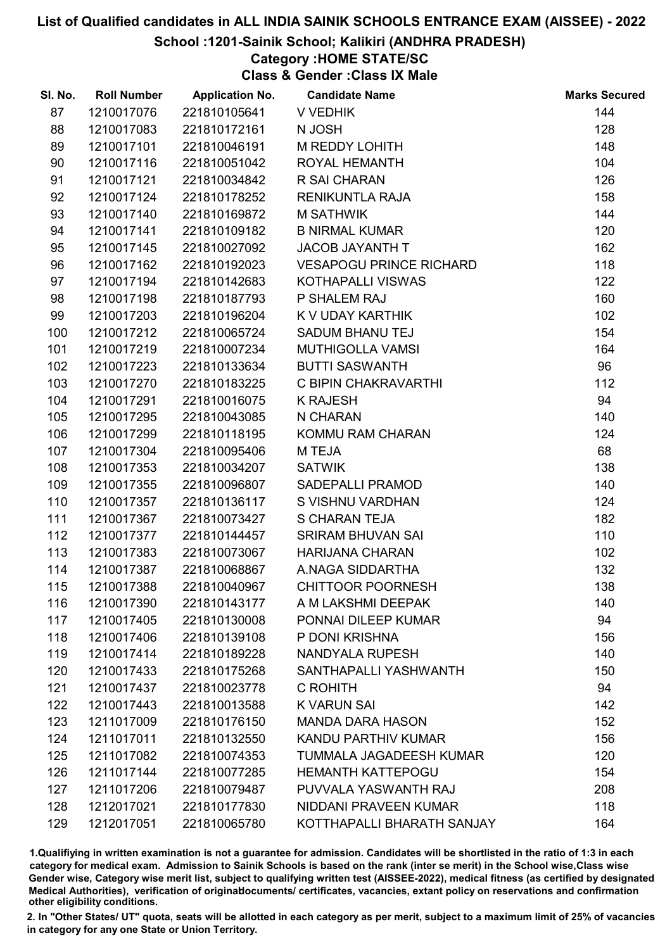School :1201-Sainik School; Kalikiri (ANDHRA PRADESH)

## Category :HOME STATE/SC

Class & Gender :Class IX Male

| SI. No. | <b>Roll Number</b> | <b>Application No.</b> | <b>Candidate Name</b>          | <b>Marks Secured</b> |
|---------|--------------------|------------------------|--------------------------------|----------------------|
| 87      | 1210017076         | 221810105641           | V VEDHIK                       | 144                  |
| 88      | 1210017083         | 221810172161           | N JOSH                         | 128                  |
| 89      | 1210017101         | 221810046191           | <b>M REDDY LOHITH</b>          | 148                  |
| 90      | 1210017116         | 221810051042           | ROYAL HEMANTH                  | 104                  |
| 91      | 1210017121         | 221810034842           | R SAI CHARAN                   | 126                  |
| 92      | 1210017124         | 221810178252           | RENIKUNTLA RAJA                | 158                  |
| 93      | 1210017140         | 221810169872           | <b>M SATHWIK</b>               | 144                  |
| 94      | 1210017141         | 221810109182           | <b>B NIRMAL KUMAR</b>          | 120                  |
| 95      | 1210017145         | 221810027092           | JACOB JAYANTH T                | 162                  |
| 96      | 1210017162         | 221810192023           | <b>VESAPOGU PRINCE RICHARD</b> | 118                  |
| 97      | 1210017194         | 221810142683           | KOTHAPALLI VISWAS              | 122                  |
| 98      | 1210017198         | 221810187793           | P SHALEM RAJ                   | 160                  |
| 99      | 1210017203         | 221810196204           | K V UDAY KARTHIK               | 102                  |
| 100     | 1210017212         | 221810065724           | <b>SADUM BHANU TEJ</b>         | 154                  |
| 101     | 1210017219         | 221810007234           | <b>MUTHIGOLLA VAMSI</b>        | 164                  |
| 102     | 1210017223         | 221810133634           | <b>BUTTI SASWANTH</b>          | 96                   |
| 103     | 1210017270         | 221810183225           | C BIPIN CHAKRAVARTHI           | 112                  |
| 104     | 1210017291         | 221810016075           | <b>K RAJESH</b>                | 94                   |
| 105     | 1210017295         | 221810043085           | N CHARAN                       | 140                  |
| 106     | 1210017299         | 221810118195           | KOMMU RAM CHARAN               | 124                  |
| 107     | 1210017304         | 221810095406           | M TEJA                         | 68                   |
| 108     | 1210017353         | 221810034207           | <b>SATWIK</b>                  | 138                  |
| 109     | 1210017355         | 221810096807           | <b>SADEPALLI PRAMOD</b>        | 140                  |
| 110     | 1210017357         | 221810136117           | S VISHNU VARDHAN               | 124                  |
| 111     | 1210017367         | 221810073427           | <b>S CHARAN TEJA</b>           | 182                  |
| 112     | 1210017377         | 221810144457           | <b>SRIRAM BHUVAN SAI</b>       | 110                  |
| 113     | 1210017383         | 221810073067           | <b>HARIJANA CHARAN</b>         | 102                  |
| 114     | 1210017387         | 221810068867           | A.NAGA SIDDARTHA               | 132                  |
| 115     | 1210017388         | 221810040967           | <b>CHITTOOR POORNESH</b>       | 138                  |
| 116     | 1210017390         | 221810143177           | A M LAKSHMI DEEPAK             | 140                  |
| 117     | 1210017405         | 221810130008           | PONNAI DILEEP KUMAR            | 94                   |
| 118     | 1210017406         | 221810139108           | P DONI KRISHNA                 | 156                  |
| 119     | 1210017414         | 221810189228           | NANDYALA RUPESH                | 140                  |
| 120     | 1210017433         | 221810175268           | SANTHAPALLI YASHWANTH          | 150                  |
| 121     | 1210017437         | 221810023778           | C ROHITH                       | 94                   |
| 122     | 1210017443         | 221810013588           | <b>K VARUN SAI</b>             | 142                  |
| 123     | 1211017009         | 221810176150           | <b>MANDA DARA HASON</b>        | 152                  |
| 124     | 1211017011         | 221810132550           | KANDU PARTHIV KUMAR            | 156                  |
| 125     | 1211017082         | 221810074353           | TUMMALA JAGADEESH KUMAR        | 120                  |
| 126     | 1211017144         | 221810077285           | <b>HEMANTH KATTEPOGU</b>       | 154                  |
| 127     | 1211017206         | 221810079487           | PUVVALA YASWANTH RAJ           | 208                  |
| 128     | 1212017021         | 221810177830           | NIDDANI PRAVEEN KUMAR          | 118                  |
| 129     | 1212017051         | 221810065780           | KOTTHAPALLI BHARATH SANJAY     | 164                  |

1.Qualifiying in written examination is not a guarantee for admission. Candidates will be shortlisted in the ratio of 1:3 in each category for medical exam. Admission to Sainik Schools is based on the rank (inter se merit) in the School wise,Class wise Gender wise, Category wise merit list, subject to qualifying written test (AISSEE-2022), medical fitness (as certified by designated Medical Authorities), verification of originablocuments/ certificates, vacancies, extant policy on reservations and confirmation other eligibility conditions.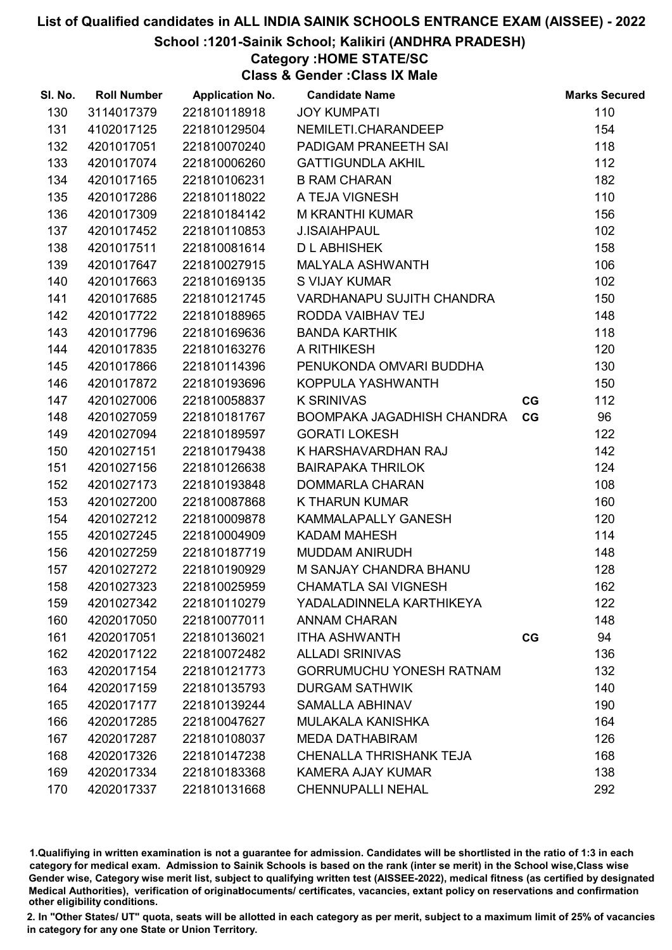School :1201-Sainik School; Kalikiri (ANDHRA PRADESH)

## Category :HOME STATE/SC

Class & Gender :Class IX Male

| SI. No. | <b>Roll Number</b> | <b>Application No.</b> | <b>Candidate Name</b>           |    | <b>Marks Secured</b> |
|---------|--------------------|------------------------|---------------------------------|----|----------------------|
| 130     | 3114017379         | 221810118918           | <b>JOY KUMPATI</b>              |    | 110                  |
| 131     | 4102017125         | 221810129504           | NEMILETI.CHARANDEEP             |    | 154                  |
| 132     | 4201017051         | 221810070240           | PADIGAM PRANEETH SAI            |    | 118                  |
| 133     | 4201017074         | 221810006260           | <b>GATTIGUNDLA AKHIL</b>        |    | 112                  |
| 134     | 4201017165         | 221810106231           | <b>B RAM CHARAN</b>             |    | 182                  |
| 135     | 4201017286         | 221810118022           | A TEJA VIGNESH                  |    | 110                  |
| 136     | 4201017309         | 221810184142           | M KRANTHI KUMAR                 |    | 156                  |
| 137     | 4201017452         | 221810110853           | <b>J.ISAIAHPAUL</b>             |    | 102                  |
| 138     | 4201017511         | 221810081614           | <b>D L ABHISHEK</b>             |    | 158                  |
| 139     | 4201017647         | 221810027915           | MALYALA ASHWANTH                |    | 106                  |
| 140     | 4201017663         | 221810169135           | S VIJAY KUMAR                   |    | 102                  |
| 141     | 4201017685         | 221810121745           | VARDHANAPU SUJITH CHANDRA       |    | 150                  |
| 142     | 4201017722         | 221810188965           | RODDA VAIBHAV TEJ               |    | 148                  |
| 143     | 4201017796         | 221810169636           | <b>BANDA KARTHIK</b>            |    | 118                  |
| 144     | 4201017835         | 221810163276           | A RITHIKESH                     |    | 120                  |
| 145     | 4201017866         | 221810114396           | PENUKONDA OMVARI BUDDHA         |    | 130                  |
| 146     | 4201017872         | 221810193696           | KOPPULA YASHWANTH               |    | 150                  |
| 147     | 4201027006         | 221810058837           | <b>K SRINIVAS</b>               | CG | 112                  |
| 148     | 4201027059         | 221810181767           | BOOMPAKA JAGADHISH CHANDRA      | CG | 96                   |
| 149     | 4201027094         | 221810189597           | <b>GORATI LOKESH</b>            |    | 122                  |
| 150     | 4201027151         | 221810179438           | K HARSHAVARDHAN RAJ             |    | 142                  |
| 151     | 4201027156         | 221810126638           | <b>BAIRAPAKA THRILOK</b>        |    | 124                  |
| 152     | 4201027173         | 221810193848           | <b>DOMMARLA CHARAN</b>          |    | 108                  |
| 153     | 4201027200         | 221810087868           | <b>K THARUN KUMAR</b>           |    | 160                  |
| 154     | 4201027212         | 221810009878           | KAMMALAPALLY GANESH             |    | 120                  |
| 155     | 4201027245         | 221810004909           | <b>KADAM MAHESH</b>             |    | 114                  |
| 156     | 4201027259         | 221810187719           | <b>MUDDAM ANIRUDH</b>           |    | 148                  |
| 157     | 4201027272         | 221810190929           | M SANJAY CHANDRA BHANU          |    | 128                  |
| 158     | 4201027323         | 221810025959           | <b>CHAMATLA SAI VIGNESH</b>     |    | 162                  |
| 159     | 4201027342         | 221810110279           | YADALADINNELA KARTHIKEYA        |    | 122                  |
| 160     | 4202017050         | 221810077011           | <b>ANNAM CHARAN</b>             |    | 148                  |
| 161     | 4202017051         | 221810136021           | <b>ITHA ASHWANTH</b>            | CG | 94                   |
| 162     | 4202017122         | 221810072482           | <b>ALLADI SRINIVAS</b>          |    | 136                  |
| 163     | 4202017154         | 221810121773           | <b>GORRUMUCHU YONESH RATNAM</b> |    | 132                  |
| 164     | 4202017159         | 221810135793           | <b>DURGAM SATHWIK</b>           |    | 140                  |
| 165     | 4202017177         | 221810139244           | <b>SAMALLA ABHINAV</b>          |    | 190                  |
| 166     | 4202017285         | 221810047627           | MULAKALA KANISHKA               |    | 164                  |
| 167     | 4202017287         | 221810108037           | <b>MEDA DATHABIRAM</b>          |    | 126                  |
| 168     | 4202017326         | 221810147238           | <b>CHENALLA THRISHANK TEJA</b>  |    | 168                  |
| 169     | 4202017334         | 221810183368           | <b>KAMERA AJAY KUMAR</b>        |    | 138                  |
| 170     | 4202017337         | 221810131668           | <b>CHENNUPALLI NEHAL</b>        |    | 292                  |

1.Qualifiying in written examination is not a guarantee for admission. Candidates will be shortlisted in the ratio of 1:3 in each category for medical exam. Admission to Sainik Schools is based on the rank (inter se merit) in the School wise,Class wise Gender wise, Category wise merit list, subject to qualifying written test (AISSEE-2022), medical fitness (as certified by designated Medical Authorities), verification of originablocuments/ certificates, vacancies, extant policy on reservations and confirmation other eligibility conditions.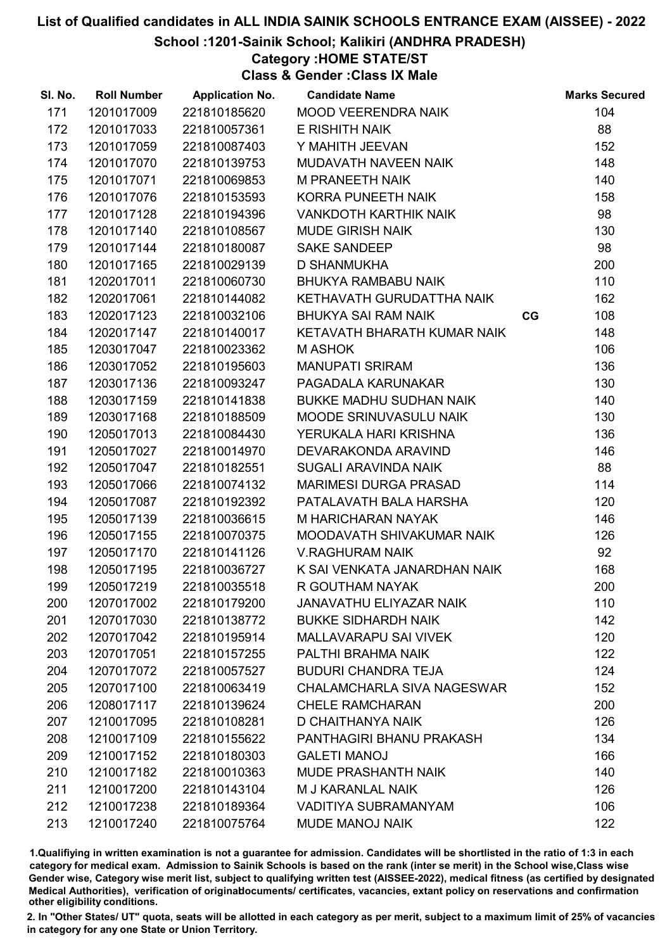School :1201-Sainik School; Kalikiri (ANDHRA PRADESH)

### Category :HOME STATE/ST

Class & Gender :Class IX Male

| SI. No. | <b>Roll Number</b> | <b>Application No.</b> | <b>Candidate Name</b>             |    | <b>Marks Secured</b> |
|---------|--------------------|------------------------|-----------------------------------|----|----------------------|
| 171     | 1201017009         | 221810185620           | <b>MOOD VEERENDRA NAIK</b>        |    | 104                  |
| 172     | 1201017033         | 221810057361           | E RISHITH NAIK                    |    | 88                   |
| 173     | 1201017059         | 221810087403           | Y MAHITH JEEVAN                   |    | 152                  |
| 174     | 1201017070         | 221810139753           | MUDAVATH NAVEEN NAIK              |    | 148                  |
| 175     | 1201017071         | 221810069853           | <b>M PRANEETH NAIK</b>            |    | 140                  |
| 176     | 1201017076         | 221810153593           | KORRA PUNEETH NAIK                |    | 158                  |
| 177     | 1201017128         | 221810194396           | <b>VANKDOTH KARTHIK NAIK</b>      |    | 98                   |
| 178     | 1201017140         | 221810108567           | <b>MUDE GIRISH NAIK</b>           |    | 130                  |
| 179     | 1201017144         | 221810180087           | <b>SAKE SANDEEP</b>               |    | 98                   |
| 180     | 1201017165         | 221810029139           | <b>D SHANMUKHA</b>                |    | 200                  |
| 181     | 1202017011         | 221810060730           | <b>BHUKYA RAMBABU NAIK</b>        |    | 110                  |
| 182     | 1202017061         | 221810144082           | KETHAVATH GURUDATTHA NAIK         |    | 162                  |
| 183     | 1202017123         | 221810032106           | <b>BHUKYA SAI RAM NAIK</b>        | CG | 108                  |
| 184     | 1202017147         | 221810140017           | KETAVATH BHARATH KUMAR NAIK       |    | 148                  |
| 185     | 1203017047         | 221810023362           | <b>MASHOK</b>                     |    | 106                  |
| 186     | 1203017052         | 221810195603           | <b>MANUPATI SRIRAM</b>            |    | 136                  |
| 187     | 1203017136         | 221810093247           | PAGADALA KARUNAKAR                |    | 130                  |
| 188     | 1203017159         | 221810141838           | <b>BUKKE MADHU SUDHAN NAIK</b>    |    | 140                  |
| 189     | 1203017168         | 221810188509           | MOODE SRINUVASULU NAIK            |    | 130                  |
| 190     | 1205017013         | 221810084430           | YERUKALA HARI KRISHNA             |    | 136                  |
| 191     | 1205017027         | 221810014970           | DEVARAKONDA ARAVIND               |    | 146                  |
| 192     | 1205017047         | 221810182551           | SUGALI ARAVINDA NAIK              |    | 88                   |
| 193     | 1205017066         | 221810074132           | <b>MARIMESI DURGA PRASAD</b>      |    | 114                  |
| 194     | 1205017087         | 221810192392           | PATALAVATH BALA HARSHA            |    | 120                  |
| 195     | 1205017139         | 221810036615           | M HARICHARAN NAYAK                |    | 146                  |
| 196     | 1205017155         | 221810070375           | MOODAVATH SHIVAKUMAR NAIK         |    | 126                  |
| 197     | 1205017170         | 221810141126           | <b>V.RAGHURAM NAIK</b>            |    | 92                   |
| 198     | 1205017195         | 221810036727           | K SAI VENKATA JANARDHAN NAIK      |    | 168                  |
| 199     | 1205017219         | 221810035518           | R GOUTHAM NAYAK                   |    | 200                  |
| 200     | 1207017002         | 221810179200           | <b>JANAVATHU ELIYAZAR NAIK</b>    |    | 110                  |
| 201     | 1207017030         | 221810138772           | <b>BUKKE SIDHARDH NAIK</b>        |    | 142                  |
| 202     | 1207017042         | 221810195914           | <b>MALLAVARAPU SAI VIVEK</b>      |    | 120                  |
| 203     | 1207017051         | 221810157255           | PALTHI BRAHMA NAIK                |    | 122                  |
| 204     | 1207017072         | 221810057527           | <b>BUDURI CHANDRA TEJA</b>        |    | 124                  |
| 205     | 1207017100         | 221810063419           | <b>CHALAMCHARLA SIVA NAGESWAR</b> |    | 152                  |
| 206     | 1208017117         | 221810139624           | <b>CHELE RAMCHARAN</b>            |    | 200                  |
| 207     | 1210017095         | 221810108281           | D CHAITHANYA NAIK                 |    | 126                  |
| 208     | 1210017109         | 221810155622           | PANTHAGIRI BHANU PRAKASH          |    | 134                  |
| 209     | 1210017152         | 221810180303           | <b>GALETI MANOJ</b>               |    | 166                  |
| 210     | 1210017182         | 221810010363           | MUDE PRASHANTH NAIK               |    | 140                  |
| 211     | 1210017200         | 221810143104           | M J KARANLAL NAIK                 |    | 126                  |
| 212     | 1210017238         | 221810189364           | <b>VADITIYA SUBRAMANYAM</b>       |    | 106                  |
| 213     | 1210017240         | 221810075764           | <b>MUDE MANOJ NAIK</b>            |    | 122                  |

1.Qualifiying in written examination is not a guarantee for admission. Candidates will be shortlisted in the ratio of 1:3 in each category for medical exam. Admission to Sainik Schools is based on the rank (inter se merit) in the School wise,Class wise Gender wise, Category wise merit list, subject to qualifying written test (AISSEE-2022), medical fitness (as certified by designated Medical Authorities), verification of originablocuments/ certificates, vacancies, extant policy on reservations and confirmation other eligibility conditions.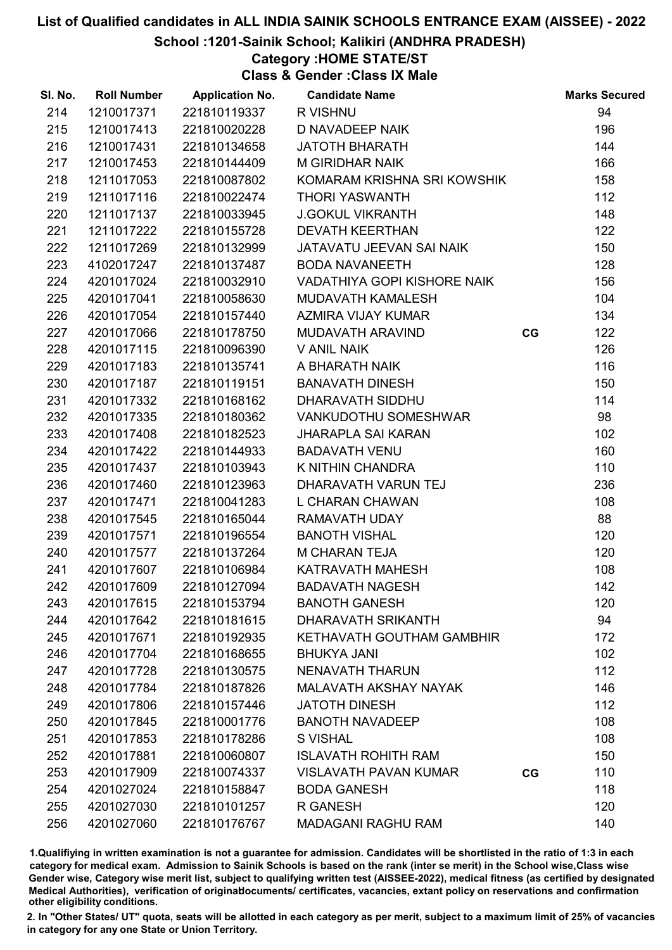School :1201-Sainik School; Kalikiri (ANDHRA PRADESH)

## Category :HOME STATE/ST

Class & Gender :Class IX Male

| SI. No. | <b>Roll Number</b> | <b>Application No.</b> | <b>Candidate Name</b>            |    | <b>Marks Secured</b> |
|---------|--------------------|------------------------|----------------------------------|----|----------------------|
| 214     | 1210017371         | 221810119337           | R VISHNU                         |    | 94                   |
| 215     | 1210017413         | 221810020228           | D NAVADEEP NAIK                  |    | 196                  |
| 216     | 1210017431         | 221810134658           | <b>JATOTH BHARATH</b>            |    | 144                  |
| 217     | 1210017453         | 221810144409           | <b>M GIRIDHAR NAIK</b>           |    | 166                  |
| 218     | 1211017053         | 221810087802           | KOMARAM KRISHNA SRI KOWSHIK      |    | 158                  |
| 219     | 1211017116         | 221810022474           | <b>THORI YASWANTH</b>            |    | 112                  |
| 220     | 1211017137         | 221810033945           | <b>J.GOKUL VIKRANTH</b>          |    | 148                  |
| 221     | 1211017222         | 221810155728           | <b>DEVATH KEERTHAN</b>           |    | 122                  |
| 222     | 1211017269         | 221810132999           | JATAVATU JEEVAN SAI NAIK         |    | 150                  |
| 223     | 4102017247         | 221810137487           | <b>BODA NAVANEETH</b>            |    | 128                  |
| 224     | 4201017024         | 221810032910           | VADATHIYA GOPI KISHORE NAIK      |    | 156                  |
| 225     | 4201017041         | 221810058630           | MUDAVATH KAMALESH                |    | 104                  |
| 226     | 4201017054         | 221810157440           | AZMIRA VIJAY KUMAR               |    | 134                  |
| 227     | 4201017066         | 221810178750           | MUDAVATH ARAVIND                 | CG | 122                  |
| 228     | 4201017115         | 221810096390           | <b>V ANIL NAIK</b>               |    | 126                  |
| 229     | 4201017183         | 221810135741           | A BHARATH NAIK                   |    | 116                  |
| 230     | 4201017187         | 221810119151           | <b>BANAVATH DINESH</b>           |    | 150                  |
| 231     | 4201017332         | 221810168162           | DHARAVATH SIDDHU                 |    | 114                  |
| 232     | 4201017335         | 221810180362           | VANKUDOTHU SOMESHWAR             |    | 98                   |
| 233     | 4201017408         | 221810182523           | <b>JHARAPLA SAI KARAN</b>        |    | 102                  |
| 234     | 4201017422         | 221810144933           | <b>BADAVATH VENU</b>             |    | 160                  |
| 235     | 4201017437         | 221810103943           | K NITHIN CHANDRA                 |    | 110                  |
| 236     | 4201017460         | 221810123963           | DHARAVATH VARUN TEJ              |    | 236                  |
| 237     | 4201017471         | 221810041283           | L CHARAN CHAWAN                  |    | 108                  |
| 238     | 4201017545         | 221810165044           | <b>RAMAVATH UDAY</b>             |    | 88                   |
| 239     | 4201017571         | 221810196554           | <b>BANOTH VISHAL</b>             |    | 120                  |
| 240     | 4201017577         | 221810137264           | <b>M CHARAN TEJA</b>             |    | 120                  |
| 241     | 4201017607         | 221810106984           | KATRAVATH MAHESH                 |    | 108                  |
| 242     | 4201017609         | 221810127094           | <b>BADAVATH NAGESH</b>           |    | 142                  |
| 243     | 4201017615         | 221810153794           | <b>BANOTH GANESH</b>             |    | 120                  |
| 244     | 4201017642         | 221810181615           | DHARAVATH SRIKANTH               |    | 94                   |
| 245     | 4201017671         | 221810192935           | <b>KETHAVATH GOUTHAM GAMBHIR</b> |    | 172                  |
| 246     | 4201017704         | 221810168655           | <b>BHUKYA JANI</b>               |    | 102                  |
| 247     | 4201017728         | 221810130575           | <b>NENAVATH THARUN</b>           |    | 112                  |
| 248     | 4201017784         | 221810187826           | MALAVATH AKSHAY NAYAK            |    | 146                  |
| 249     | 4201017806         | 221810157446           | <b>JATOTH DINESH</b>             |    | 112                  |
| 250     | 4201017845         | 221810001776           | <b>BANOTH NAVADEEP</b>           |    | 108                  |
| 251     | 4201017853         | 221810178286           | <b>S VISHAL</b>                  |    | 108                  |
| 252     | 4201017881         | 221810060807           | <b>ISLAVATH ROHITH RAM</b>       |    | 150                  |
| 253     | 4201017909         | 221810074337           | <b>VISLAVATH PAVAN KUMAR</b>     | CG | 110                  |
| 254     | 4201027024         | 221810158847           | <b>BODA GANESH</b>               |    | 118                  |
| 255     | 4201027030         | 221810101257           | <b>R GANESH</b>                  |    | 120                  |
| 256     | 4201027060         | 221810176767           | <b>MADAGANI RAGHU RAM</b>        |    | 140                  |

1.Qualifiying in written examination is not a guarantee for admission. Candidates will be shortlisted in the ratio of 1:3 in each category for medical exam. Admission to Sainik Schools is based on the rank (inter se merit) in the School wise,Class wise Gender wise, Category wise merit list, subject to qualifying written test (AISSEE-2022), medical fitness (as certified by designated Medical Authorities), verification of originablocuments/ certificates, vacancies, extant policy on reservations and confirmation other eligibility conditions.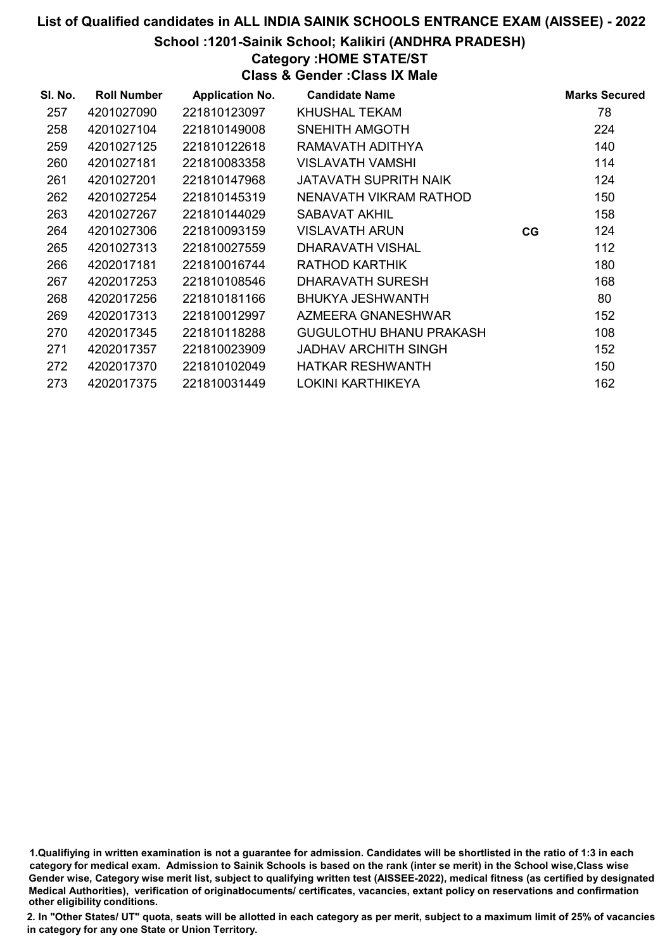School :1201-Sainik School; Kalikiri (ANDHRA PRADESH)

### Category :HOME STATE/ST

Class & Gender :Class IX Male

| SI. No. | <b>Roll Number</b> | <b>Application No.</b> | <b>Candidate Name</b>        |    | <b>Marks Secured</b> |
|---------|--------------------|------------------------|------------------------------|----|----------------------|
| 257     | 4201027090         | 221810123097           | <b>KHUSHAL TEKAM</b>         |    | 78                   |
| 258     | 4201027104         | 221810149008           | SNEHITH AMGOTH               |    | 224                  |
| 259     | 4201027125         | 221810122618           | RAMAVATH ADITHYA             |    | 140                  |
| 260     | 4201027181         | 221810083358           | <b>VISLAVATH VAMSHI</b>      |    | 114                  |
| 261     | 4201027201         | 221810147968           | <b>JATAVATH SUPRITH NAIK</b> |    | 124                  |
| 262     | 4201027254         | 221810145319           | NENAVATH VIKRAM RATHOD       |    | 150                  |
| 263     | 4201027267         | 221810144029           | SABAVAT AKHIL                |    | 158                  |
| 264     | 4201027306         | 221810093159           | <b>VISLAVATH ARUN</b>        | CG | 124                  |
| 265     | 4201027313         | 221810027559           | DHARAVATH VISHAL             |    | 112                  |
| 266     | 4202017181         | 221810016744           | RATHOD KARTHIK               |    | 180                  |
| 267     | 4202017253         | 221810108546           | <b>DHARAVATH SURESH</b>      |    | 168                  |
| 268     | 4202017256         | 221810181166           | BHUKYA JESHWANTH             |    | 80                   |
| 269     | 4202017313         | 221810012997           | AZMEERA GNANESHWAR           |    | 152                  |
| 270     | 4202017345         | 221810118288           | GUGULOTHU BHANU PRAKASH      |    | 108                  |
| 271     | 4202017357         | 221810023909           | JADHAV ARCHITH SINGH         |    | 152                  |
| 272     | 4202017370         | 221810102049           | <b>HATKAR RESHWANTH</b>      |    | 150                  |
| 273     | 4202017375         | 221810031449           | <b>LOKINI KARTHIKEYA</b>     |    | 162                  |

<sup>1.</sup>Qualifiying in written examination is not a guarantee for admission. Candidates will be shortlisted in the ratio of 1:3 in each category for medical exam. Admission to Sainik Schools is based on the rank (inter se merit) in the School wise,Class wise Gender wise, Category wise merit list, subject to qualifying written test (AISSEE-2022), medical fitness (as certified by designated Medical Authorities), verification of originablocuments/ certificates, vacancies, extant policy on reservations and confirmation other eligibility conditions.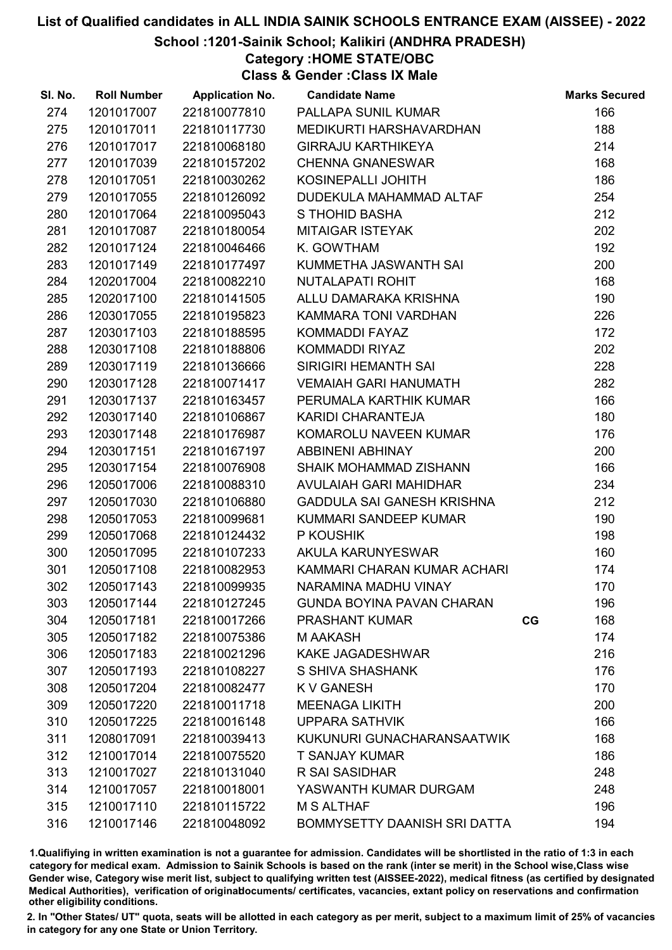#### School :1201-Sainik School; Kalikiri (ANDHRA PRADESH)

Category :HOME STATE/OBC

Class & Gender :Class IX Male

| SI. No. | <b>Roll Number</b> | <b>Application No.</b> | <b>Candidate Name</b>               |    | <b>Marks Secured</b> |
|---------|--------------------|------------------------|-------------------------------------|----|----------------------|
| 274     | 1201017007         | 221810077810           | PALLAPA SUNIL KUMAR                 |    | 166                  |
| 275     | 1201017011         | 221810117730           | MEDIKURTI HARSHAVARDHAN             |    | 188                  |
| 276     | 1201017017         | 221810068180           | <b>GIRRAJU KARTHIKEYA</b>           |    | 214                  |
| 277     | 1201017039         | 221810157202           | <b>CHENNA GNANESWAR</b>             |    | 168                  |
| 278     | 1201017051         | 221810030262           | KOSINEPALLI JOHITH                  |    | 186                  |
| 279     | 1201017055         | 221810126092           | DUDEKULA MAHAMMAD ALTAF             |    | 254                  |
| 280     | 1201017064         | 221810095043           | S THOHID BASHA                      |    | 212                  |
| 281     | 1201017087         | 221810180054           | <b>MITAIGAR ISTEYAK</b>             |    | 202                  |
| 282     | 1201017124         | 221810046466           | K. GOWTHAM                          |    | 192                  |
| 283     | 1201017149         | 221810177497           | KUMMETHA JASWANTH SAI               |    | 200                  |
| 284     | 1202017004         | 221810082210           | NUTALAPATI ROHIT                    |    | 168                  |
| 285     | 1202017100         | 221810141505           | ALLU DAMARAKA KRISHNA               |    | 190                  |
| 286     | 1203017055         | 221810195823           | KAMMARA TONI VARDHAN                |    | 226                  |
| 287     | 1203017103         | 221810188595           | KOMMADDI FAYAZ                      |    | 172                  |
| 288     | 1203017108         | 221810188806           | KOMMADDI RIYAZ                      |    | 202                  |
| 289     | 1203017119         | 221810136666           | SIRIGIRI HEMANTH SAI                |    | 228                  |
| 290     | 1203017128         | 221810071417           | <b>VEMAIAH GARI HANUMATH</b>        |    | 282                  |
| 291     | 1203017137         | 221810163457           | PERUMALA KARTHIK KUMAR              |    | 166                  |
| 292     | 1203017140         | 221810106867           | KARIDI CHARANTEJA                   |    | 180                  |
| 293     | 1203017148         | 221810176987           | KOMAROLU NAVEEN KUMAR               |    | 176                  |
| 294     | 1203017151         | 221810167197           | ABBINENI ABHINAY                    |    | 200                  |
| 295     | 1203017154         | 221810076908           | SHAIK MOHAMMAD ZISHANN              |    | 166                  |
| 296     | 1205017006         | 221810088310           | AVULAIAH GARI MAHIDHAR              |    | 234                  |
| 297     | 1205017030         | 221810106880           | GADDULA SAI GANESH KRISHNA          |    | 212                  |
| 298     | 1205017053         | 221810099681           | KUMMARI SANDEEP KUMAR               |    | 190                  |
| 299     | 1205017068         | 221810124432           | P KOUSHIK                           |    | 198                  |
| 300     | 1205017095         | 221810107233           | <b>AKULA KARUNYESWAR</b>            |    | 160                  |
| 301     | 1205017108         | 221810082953           | KAMMARI CHARAN KUMAR ACHARI         |    | 174                  |
| 302     | 1205017143         | 221810099935           | NARAMINA MADHU VINAY                |    | 170                  |
| 303     | 1205017144         | 221810127245           | <b>GUNDA BOYINA PAVAN CHARAN</b>    |    | 196                  |
| 304     | 1205017181         | 221810017266           | <b>PRASHANT KUMAR</b>               | CG | 168                  |
| 305     | 1205017182         | 221810075386           | <b>MAAKASH</b>                      |    | 174                  |
| 306     | 1205017183         | 221810021296           | <b>KAKE JAGADESHWAR</b>             |    | 216                  |
| 307     | 1205017193         | 221810108227           | S SHIVA SHASHANK                    |    | 176                  |
| 308     | 1205017204         | 221810082477           | K V GANESH                          |    | 170                  |
| 309     | 1205017220         | 221810011718           | <b>MEENAGA LIKITH</b>               |    | 200                  |
| 310     | 1205017225         | 221810016148           | <b>UPPARA SATHVIK</b>               |    | 166                  |
| 311     | 1208017091         | 221810039413           | KUKUNURI GUNACHARANSAATWIK          |    | 168                  |
| 312     | 1210017014         | 221810075520           | <b>T SANJAY KUMAR</b>               |    | 186                  |
| 313     | 1210017027         | 221810131040           | R SAI SASIDHAR                      |    | 248                  |
| 314     | 1210017057         | 221810018001           | YASWANTH KUMAR DURGAM               |    | 248                  |
| 315     | 1210017110         | 221810115722           | <b>M S ALTHAF</b>                   |    | 196                  |
| 316     | 1210017146         | 221810048092           | <b>BOMMYSETTY DAANISH SRI DATTA</b> |    | 194                  |

1.Qualifiying in written examination is not a guarantee for admission. Candidates will be shortlisted in the ratio of 1:3 in each category for medical exam. Admission to Sainik Schools is based on the rank (inter se merit) in the School wise,Class wise Gender wise, Category wise merit list, subject to qualifying written test (AISSEE-2022), medical fitness (as certified by designated Medical Authorities), verification of originablocuments/ certificates, vacancies, extant policy on reservations and confirmation other eligibility conditions.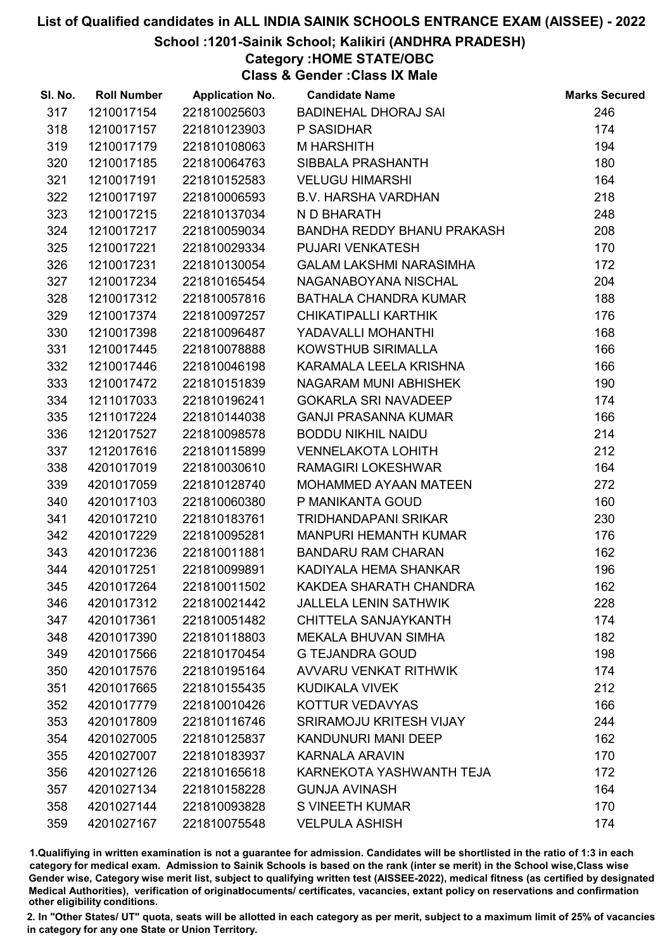#### School :1201-Sainik School; Kalikiri (ANDHRA PRADESH)

Category :HOME STATE/OBC

Class & Gender :Class IX Male

| SI. No. | <b>Roll Number</b> | <b>Application No.</b> | <b>Candidate Name</b>             | <b>Marks Secured</b> |
|---------|--------------------|------------------------|-----------------------------------|----------------------|
| 317     | 1210017154         | 221810025603           | <b>BADINEHAL DHORAJ SAI</b>       | 246                  |
| 318     | 1210017157         | 221810123903           | P SASIDHAR                        | 174                  |
| 319     | 1210017179         | 221810108063           | <b>M HARSHITH</b>                 | 194                  |
| 320     | 1210017185         | 221810064763           | SIBBALA PRASHANTH                 | 180                  |
| 321     | 1210017191         | 221810152583           | <b>VELUGU HIMARSHI</b>            | 164                  |
| 322     | 1210017197         | 221810006593           | <b>B.V. HARSHA VARDHAN</b>        | 218                  |
| 323     | 1210017215         | 221810137034           | N D BHARATH                       | 248                  |
| 324     | 1210017217         | 221810059034           | <b>BANDHA REDDY BHANU PRAKASH</b> | 208                  |
| 325     | 1210017221         | 221810029334           | <b>PUJARI VENKATESH</b>           | 170                  |
| 326     | 1210017231         | 221810130054           | <b>GALAM LAKSHMI NARASIMHA</b>    | 172                  |
| 327     | 1210017234         | 221810165454           | NAGANABOYANA NISCHAL              | 204                  |
| 328     | 1210017312         | 221810057816           | BATHALA CHANDRA KUMAR             | 188                  |
| 329     | 1210017374         | 221810097257           | CHIKATIPALLI KARTHIK              | 176                  |
| 330     | 1210017398         | 221810096487           | YADAVALLI MOHANTHI                | 168                  |
| 331     | 1210017445         | 221810078888           | KOWSTHUB SIRIMALLA                | 166                  |
| 332     | 1210017446         | 221810046198           | KARAMALA LEELA KRISHNA            | 166                  |
| 333     | 1210017472         | 221810151839           | NAGARAM MUNI ABHISHEK             | 190                  |
| 334     | 1211017033         | 221810196241           | <b>GOKARLA SRI NAVADEEP</b>       | 174                  |
| 335     | 1211017224         | 221810144038           | <b>GANJI PRASANNA KUMAR</b>       | 166                  |
| 336     | 1212017527         | 221810098578           | <b>BODDU NIKHIL NAIDU</b>         | 214                  |
| 337     | 1212017616         | 221810115899           | <b>VENNELAKOTA LOHITH</b>         | 212                  |
| 338     | 4201017019         | 221810030610           | <b>RAMAGIRI LOKESHWAR</b>         | 164                  |
| 339     | 4201017059         | 221810128740           | MOHAMMED AYAAN MATEEN             | 272                  |
| 340     | 4201017103         | 221810060380           | P MANIKANTA GOUD                  | 160                  |
| 341     | 4201017210         | 221810183761           | <b>TRIDHANDAPANI SRIKAR</b>       | 230                  |
| 342     | 4201017229         | 221810095281           | <b>MANPURI HEMANTH KUMAR</b>      | 176                  |
| 343     | 4201017236         | 221810011881           | <b>BANDARU RAM CHARAN</b>         | 162                  |
| 344     | 4201017251         | 221810099891           | KADIYALA HEMA SHANKAR             | 196                  |
| 345     | 4201017264         | 221810011502           | KAKDEA SHARATH CHANDRA            | 162                  |
| 346     | 4201017312         | 221810021442           | <b>JALLELA LENIN SATHWIK</b>      | 228                  |
| 347     | 4201017361         | 221810051482           | CHITTELA SANJAYKANTH              | 174                  |
| 348     | 4201017390         | 221810118803           | <b>MEKALA BHUVAN SIMHA</b>        | 182                  |
| 349     | 4201017566         | 221810170454           | <b>G TEJANDRA GOUD</b>            | 198                  |
| 350     | 4201017576         | 221810195164           | <b>AVVARU VENKAT RITHWIK</b>      | 174                  |
| 351     | 4201017665         | 221810155435           | <b>KUDIKALA VIVEK</b>             | 212                  |
| 352     | 4201017779         | 221810010426           | KOTTUR VEDAVYAS                   | 166                  |
| 353     | 4201017809         | 221810116746           | SRIRAMOJU KRITESH VIJAY           | 244                  |
| 354     | 4201027005         | 221810125837           | KANDUNURI MANI DEEP               | 162                  |
| 355     | 4201027007         | 221810183937           | <b>KARNALA ARAVIN</b>             | 170                  |
| 356     | 4201027126         | 221810165618           | KARNEKOTA YASHWANTH TEJA          | 172                  |
| 357     | 4201027134         | 221810158228           | <b>GUNJA AVINASH</b>              | 164                  |
| 358     | 4201027144         | 221810093828           | <b>S VINEETH KUMAR</b>            | 170                  |
| 359     | 4201027167         | 221810075548           | <b>VELPULA ASHISH</b>             | 174                  |

1.Qualifiying in written examination is not a guarantee for admission. Candidates will be shortlisted in the ratio of 1:3 in each category for medical exam. Admission to Sainik Schools is based on the rank (inter se merit) in the School wise,Class wise Gender wise, Category wise merit list, subject to qualifying written test (AISSEE-2022), medical fitness (as certified by designated Medical Authorities), verification of originablocuments/ certificates, vacancies, extant policy on reservations and confirmation other eligibility conditions.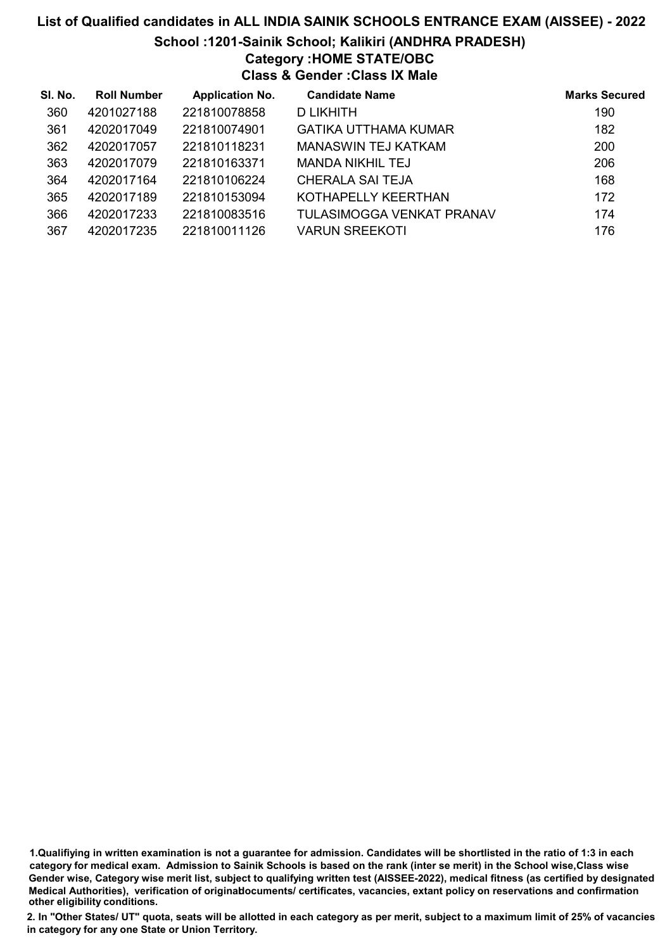# List of Qualified candidates in ALL INDIA SAINIK SCHOOLS ENTRANCE EXAM (AISSEE) - 2022 School :1201-Sainik School; Kalikiri (ANDHRA PRADESH) Category :HOME STATE/OBC Class & Gender :Class IX Male

| SI. No. | <b>Roll Number</b> | <b>Application No.</b> | <b>Candidate Name</b>     | <b>Marks Secured</b> |
|---------|--------------------|------------------------|---------------------------|----------------------|
| 360     | 4201027188         | 221810078858           | D LIKHITH                 | 190                  |
| 361     | 4202017049         | 221810074901           | GATIKA UTTHAMA KUMAR      | 182                  |
| 362     | 4202017057         | 221810118231           | MANASWIN TEJ KATKAM       | 200                  |
| 363     | 4202017079         | 221810163371           | MANDA NIKHIL TEJ          | 206                  |
| 364     | 4202017164         | 221810106224           | <b>CHERALA SAI TEJA</b>   | 168                  |
| 365     | 4202017189         | 221810153094           | KOTHAPELLY KEERTHAN       | 172                  |
| 366     | 4202017233         | 221810083516           | TULASIMOGGA VENKAT PRANAV | 174                  |
| 367     | 4202017235         | 221810011126           | <b>VARUN SREEKOTI</b>     | 176                  |

<sup>1.</sup>Qualifiying in written examination is not a guarantee for admission. Candidates will be shortlisted in the ratio of 1:3 in each category for medical exam. Admission to Sainik Schools is based on the rank (inter se merit) in the School wise,Class wise Gender wise, Category wise merit list, subject to qualifying written test (AISSEE-2022), medical fitness (as certified by designated Medical Authorities), verification of originablocuments/ certificates, vacancies, extant policy on reservations and confirmation other eligibility conditions.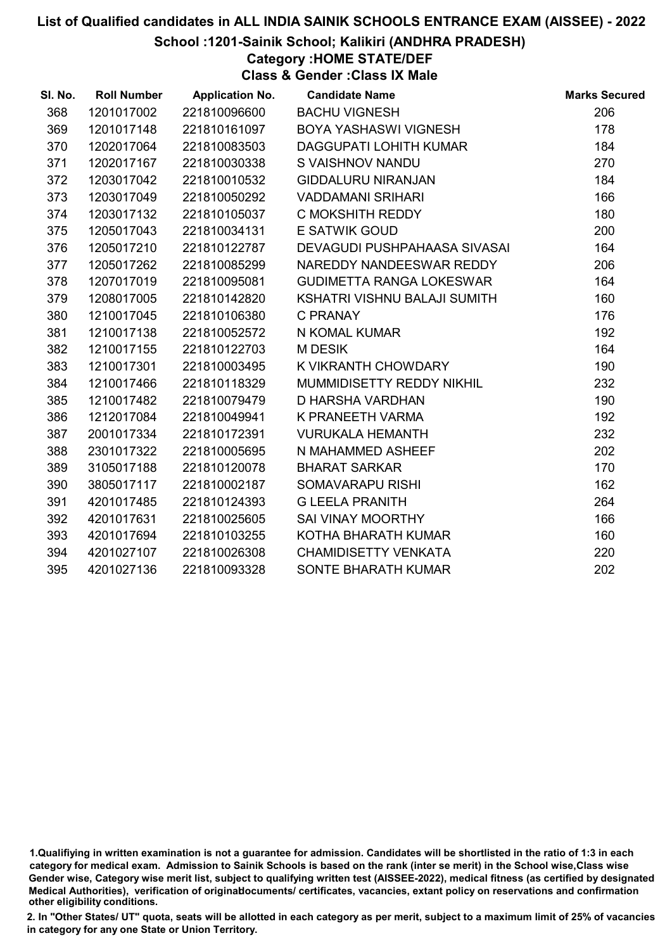#### School :1201-Sainik School; Kalikiri (ANDHRA PRADESH)

Category :HOME STATE/DEF

Class & Gender :Class IX Male

| SI. No. | <b>Roll Number</b> | <b>Application No.</b> | <b>Candidate Name</b>           | <b>Marks Secured</b> |
|---------|--------------------|------------------------|---------------------------------|----------------------|
| 368     | 1201017002         | 221810096600           | <b>BACHU VIGNESH</b>            | 206                  |
| 369     | 1201017148         | 221810161097           | BOYA YASHASWI VIGNESH           | 178                  |
| 370     | 1202017064         | 221810083503           | <b>DAGGUPATI LOHITH KUMAR</b>   | 184                  |
| 371     | 1202017167         | 221810030338           | S VAISHNOV NANDU                | 270                  |
| 372     | 1203017042         | 221810010532           | <b>GIDDALURU NIRANJAN</b>       | 184                  |
| 373     | 1203017049         | 221810050292           | <b>VADDAMANI SRIHARI</b>        | 166                  |
| 374     | 1203017132         | 221810105037           | C MOKSHITH REDDY                | 180                  |
| 375     | 1205017043         | 221810034131           | <b>E SATWIK GOUD</b>            | 200                  |
| 376     | 1205017210         | 221810122787           | DEVAGUDI PUSHPAHAASA SIVASAI    | 164                  |
| 377     | 1205017262         | 221810085299           | NAREDDY NANDEESWAR REDDY        | 206                  |
| 378     | 1207017019         | 221810095081           | <b>GUDIMETTA RANGA LOKESWAR</b> | 164                  |
| 379     | 1208017005         | 221810142820           | KSHATRI VISHNU BALAJI SUMITH    | 160                  |
| 380     | 1210017045         | 221810106380           | C PRANAY                        | 176                  |
| 381     | 1210017138         | 221810052572           | N KOMAL KUMAR                   | 192                  |
| 382     | 1210017155         | 221810122703           | <b>MDESIK</b>                   | 164                  |
| 383     | 1210017301         | 221810003495           | K VIKRANTH CHOWDARY             | 190                  |
| 384     | 1210017466         | 221810118329           | MUMMIDISETTY REDDY NIKHIL       | 232                  |
| 385     | 1210017482         | 221810079479           | <b>D HARSHA VARDHAN</b>         | 190                  |
| 386     | 1212017084         | 221810049941           | K PRANEETH VARMA                | 192                  |
| 387     | 2001017334         | 221810172391           | <b>VURUKALA HEMANTH</b>         | 232                  |
| 388     | 2301017322         | 221810005695           | N MAHAMMED ASHEEF               | 202                  |
| 389     | 3105017188         | 221810120078           | <b>BHARAT SARKAR</b>            | 170                  |
| 390     | 3805017117         | 221810002187           | SOMAVARAPU RISHI                | 162                  |
| 391     | 4201017485         | 221810124393           | <b>G LEELA PRANITH</b>          | 264                  |
| 392     | 4201017631         | 221810025605           | SAI VINAY MOORTHY               | 166                  |
| 393     | 4201017694         | 221810103255           | KOTHA BHARATH KUMAR             | 160                  |
| 394     | 4201027107         | 221810026308           | <b>CHAMIDISETTY VENKATA</b>     | 220                  |
| 395     | 4201027136         | 221810093328           | <b>SONTE BHARATH KUMAR</b>      | 202                  |

<sup>1.</sup>Qualifiying in written examination is not a guarantee for admission. Candidates will be shortlisted in the ratio of 1:3 in each category for medical exam. Admission to Sainik Schools is based on the rank (inter se merit) in the School wise,Class wise Gender wise, Category wise merit list, subject to qualifying written test (AISSEE-2022), medical fitness (as certified by designated Medical Authorities), verification of originablocuments/ certificates, vacancies, extant policy on reservations and confirmation other eligibility conditions.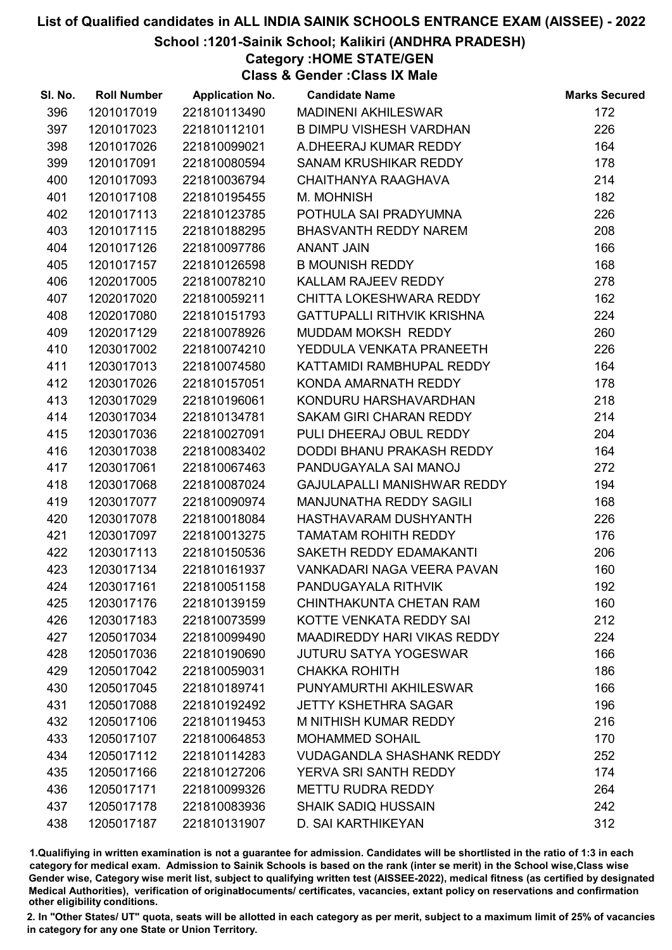#### School :1201-Sainik School; Kalikiri (ANDHRA PRADESH)

Category :HOME STATE/GEN

Class & Gender :Class IX Male

| SI. No. | <b>Roll Number</b> | <b>Application No.</b> | <b>Candidate Name</b>              | <b>Marks Secured</b> |
|---------|--------------------|------------------------|------------------------------------|----------------------|
| 396     | 1201017019         | 221810113490           | <b>MADINENI AKHILESWAR</b>         | 172                  |
| 397     | 1201017023         | 221810112101           | <b>B DIMPU VISHESH VARDHAN</b>     | 226                  |
| 398     | 1201017026         | 221810099021           | A.DHEERAJ KUMAR REDDY              | 164                  |
| 399     | 1201017091         | 221810080594           | SANAM KRUSHIKAR REDDY              | 178                  |
| 400     | 1201017093         | 221810036794           | CHAITHANYA RAAGHAVA                | 214                  |
| 401     | 1201017108         | 221810195455           | M. MOHNISH                         | 182                  |
| 402     | 1201017113         | 221810123785           | POTHULA SAI PRADYUMNA              | 226                  |
| 403     | 1201017115         | 221810188295           | <b>BHASVANTH REDDY NAREM</b>       | 208                  |
| 404     | 1201017126         | 221810097786           | <b>ANANT JAIN</b>                  | 166                  |
| 405     | 1201017157         | 221810126598           | <b>B MOUNISH REDDY</b>             | 168                  |
| 406     | 1202017005         | 221810078210           | KALLAM RAJEEV REDDY                | 278                  |
| 407     | 1202017020         | 221810059211           | CHITTA LOKESHWARA REDDY            | 162                  |
| 408     | 1202017080         | 221810151793           | <b>GATTUPALLI RITHVIK KRISHNA</b>  | 224                  |
| 409     | 1202017129         | 221810078926           | MUDDAM MOKSH REDDY                 | 260                  |
| 410     | 1203017002         | 221810074210           | YEDDULA VENKATA PRANEETH           | 226                  |
| 411     | 1203017013         | 221810074580           | KATTAMIDI RAMBHUPAL REDDY          | 164                  |
| 412     | 1203017026         | 221810157051           | KONDA AMARNATH REDDY               | 178                  |
| 413     | 1203017029         | 221810196061           | KONDURU HARSHAVARDHAN              | 218                  |
| 414     | 1203017034         | 221810134781           | SAKAM GIRI CHARAN REDDY            | 214                  |
| 415     | 1203017036         | 221810027091           | PULI DHEERAJ OBUL REDDY            | 204                  |
| 416     | 1203017038         | 221810083402           | DODDI BHANU PRAKASH REDDY          | 164                  |
| 417     | 1203017061         | 221810067463           | PANDUGAYALA SAI MANOJ              | 272                  |
| 418     | 1203017068         | 221810087024           | GAJULAPALLI MANISHWAR REDDY        | 194                  |
| 419     | 1203017077         | 221810090974           | MANJUNATHA REDDY SAGILI            | 168                  |
| 420     | 1203017078         | 221810018084           | HASTHAVARAM DUSHYANTH              | 226                  |
| 421     | 1203017097         | 221810013275           | <b>TAMATAM ROHITH REDDY</b>        | 176                  |
| 422     | 1203017113         | 221810150536           | SAKETH REDDY EDAMAKANTI            | 206                  |
| 423     | 1203017134         | 221810161937           | VANKADARI NAGA VEERA PAVAN         | 160                  |
| 424     | 1203017161         | 221810051158           | PANDUGAYALA RITHVIK                | 192                  |
| 425     | 1203017176         | 221810139159           | CHINTHAKUNTA CHETAN RAM            | 160                  |
| 426     | 1203017183         | 221810073599           | KOTTE VENKATA REDDY SAI            | 212                  |
| 427     | 1205017034         | 221810099490           | <b>MAADIREDDY HARI VIKAS REDDY</b> | 224                  |
| 428     | 1205017036         | 221810190690           | <b>JUTURU SATYA YOGESWAR</b>       | 166                  |
| 429     | 1205017042         | 221810059031           | <b>CHAKKA ROHITH</b>               | 186                  |
| 430     | 1205017045         | 221810189741           | PUNYAMURTHI AKHILESWAR             | 166                  |
| 431     | 1205017088         | 221810192492           | <b>JETTY KSHETHRA SAGAR</b>        | 196                  |
| 432     | 1205017106         | 221810119453           | M NITHISH KUMAR REDDY              | 216                  |
| 433     | 1205017107         | 221810064853           | <b>MOHAMMED SOHAIL</b>             | 170                  |
| 434     | 1205017112         | 221810114283           | <b>VUDAGANDLA SHASHANK REDDY</b>   | 252                  |
| 435     | 1205017166         | 221810127206           | YERVA SRI SANTH REDDY              | 174                  |
| 436     | 1205017171         | 221810099326           | <b>METTU RUDRA REDDY</b>           | 264                  |
| 437     | 1205017178         | 221810083936           | <b>SHAIK SADIQ HUSSAIN</b>         | 242                  |
| 438     | 1205017187         | 221810131907           | D. SAI KARTHIKEYAN                 | 312                  |

1.Qualifiying in written examination is not a guarantee for admission. Candidates will be shortlisted in the ratio of 1:3 in each category for medical exam. Admission to Sainik Schools is based on the rank (inter se merit) in the School wise,Class wise Gender wise, Category wise merit list, subject to qualifying written test (AISSEE-2022), medical fitness (as certified by designated Medical Authorities), verification of originablocuments/ certificates, vacancies, extant policy on reservations and confirmation other eligibility conditions.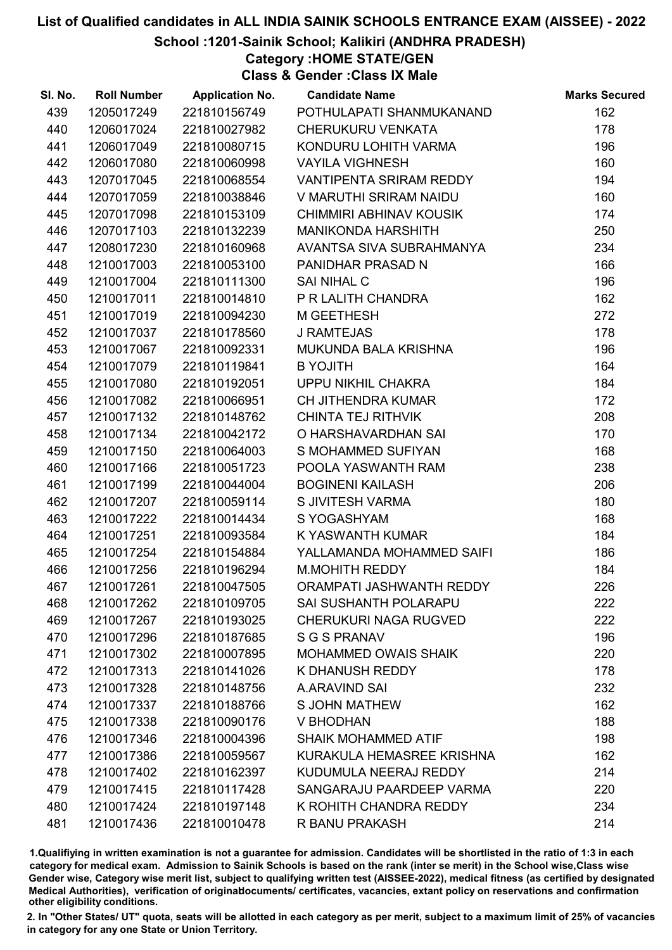School :1201-Sainik School; Kalikiri (ANDHRA PRADESH)

Category :HOME STATE/GEN

Class & Gender :Class IX Male

| SI. No. | <b>Roll Number</b> | <b>Application No.</b> | <b>Candidate Name</b>          | <b>Marks Secured</b> |
|---------|--------------------|------------------------|--------------------------------|----------------------|
| 439     | 1205017249         | 221810156749           | POTHULAPATI SHANMUKANAND       | 162                  |
| 440     | 1206017024         | 221810027982           | <b>CHERUKURU VENKATA</b>       | 178                  |
| 441     | 1206017049         | 221810080715           | KONDURU LOHITH VARMA           | 196                  |
| 442     | 1206017080         | 221810060998           | <b>VAYILA VIGHNESH</b>         | 160                  |
| 443     | 1207017045         | 221810068554           | <b>VANTIPENTA SRIRAM REDDY</b> | 194                  |
| 444     | 1207017059         | 221810038846           | V MARUTHI SRIRAM NAIDU         | 160                  |
| 445     | 1207017098         | 221810153109           | CHIMMIRI ABHINAV KOUSIK        | 174                  |
| 446     | 1207017103         | 221810132239           | <b>MANIKONDA HARSHITH</b>      | 250                  |
| 447     | 1208017230         | 221810160968           | AVANTSA SIVA SUBRAHMANYA       | 234                  |
| 448     | 1210017003         | 221810053100           | PANIDHAR PRASAD N              | 166                  |
| 449     | 1210017004         | 221810111300           | <b>SAI NIHAL C</b>             | 196                  |
| 450     | 1210017011         | 221810014810           | P R LALITH CHANDRA             | 162                  |
| 451     | 1210017019         | 221810094230           | M GEETHESH                     | 272                  |
| 452     | 1210017037         | 221810178560           | <b>J RAMTEJAS</b>              | 178                  |
| 453     | 1210017067         | 221810092331           | MUKUNDA BALA KRISHNA           | 196                  |
| 454     | 1210017079         | 221810119841           | <b>B YOJITH</b>                | 164                  |
| 455     | 1210017080         | 221810192051           | UPPU NIKHIL CHAKRA             | 184                  |
| 456     | 1210017082         | 221810066951           | <b>CH JITHENDRA KUMAR</b>      | 172                  |
| 457     | 1210017132         | 221810148762           | <b>CHINTA TEJ RITHVIK</b>      | 208                  |
| 458     | 1210017134         | 221810042172           | O HARSHAVARDHAN SAI            | 170                  |
| 459     | 1210017150         | 221810064003           | S MOHAMMED SUFIYAN             | 168                  |
| 460     | 1210017166         | 221810051723           | POOLA YASWANTH RAM             | 238                  |
| 461     | 1210017199         | 221810044004           | <b>BOGINENI KAILASH</b>        | 206                  |
| 462     | 1210017207         | 221810059114           | S JIVITESH VARMA               | 180                  |
| 463     | 1210017222         | 221810014434           | S YOGASHYAM                    | 168                  |
| 464     | 1210017251         | 221810093584           | K YASWANTH KUMAR               | 184                  |
| 465     | 1210017254         | 221810154884           | YALLAMANDA MOHAMMED SAIFI      | 186                  |
| 466     | 1210017256         | 221810196294           | <b>M.MOHITH REDDY</b>          | 184                  |
| 467     | 1210017261         | 221810047505           | ORAMPATI JASHWANTH REDDY       | 226                  |
| 468     | 1210017262         | 221810109705           | <b>SAI SUSHANTH POLARAPU</b>   | 222                  |
| 469     | 1210017267         | 221810193025           | <b>CHERUKURI NAGA RUGVED</b>   | 222                  |
| 470     | 1210017296         | 221810187685           | <b>S G S PRANAV</b>            | 196                  |
| 471     | 1210017302         | 221810007895           | MOHAMMED OWAIS SHAIK           | 220                  |
| 472     | 1210017313         | 221810141026           | K DHANUSH REDDY                | 178                  |
| 473     | 1210017328         | 221810148756           | A.ARAVIND SAI                  | 232                  |
| 474     | 1210017337         | 221810188766           | <b>S JOHN MATHEW</b>           | 162                  |
| 475     | 1210017338         | 221810090176           | <b>V BHODHAN</b>               | 188                  |
| 476     | 1210017346         | 221810004396           | <b>SHAIK MOHAMMED ATIF</b>     | 198                  |
| 477     | 1210017386         | 221810059567           | KURAKULA HEMASREE KRISHNA      | 162                  |
| 478     | 1210017402         | 221810162397           | KUDUMULA NEERAJ REDDY          | 214                  |
| 479     | 1210017415         | 221810117428           | SANGARAJU PAARDEEP VARMA       | 220                  |
| 480     | 1210017424         | 221810197148           | K ROHITH CHANDRA REDDY         | 234                  |
| 481     | 1210017436         | 221810010478           | R BANU PRAKASH                 | 214                  |

1.Qualifiying in written examination is not a guarantee for admission. Candidates will be shortlisted in the ratio of 1:3 in each category for medical exam. Admission to Sainik Schools is based on the rank (inter se merit) in the School wise,Class wise Gender wise, Category wise merit list, subject to qualifying written test (AISSEE-2022), medical fitness (as certified by designated Medical Authorities), verification of originablocuments/ certificates, vacancies, extant policy on reservations and confirmation other eligibility conditions.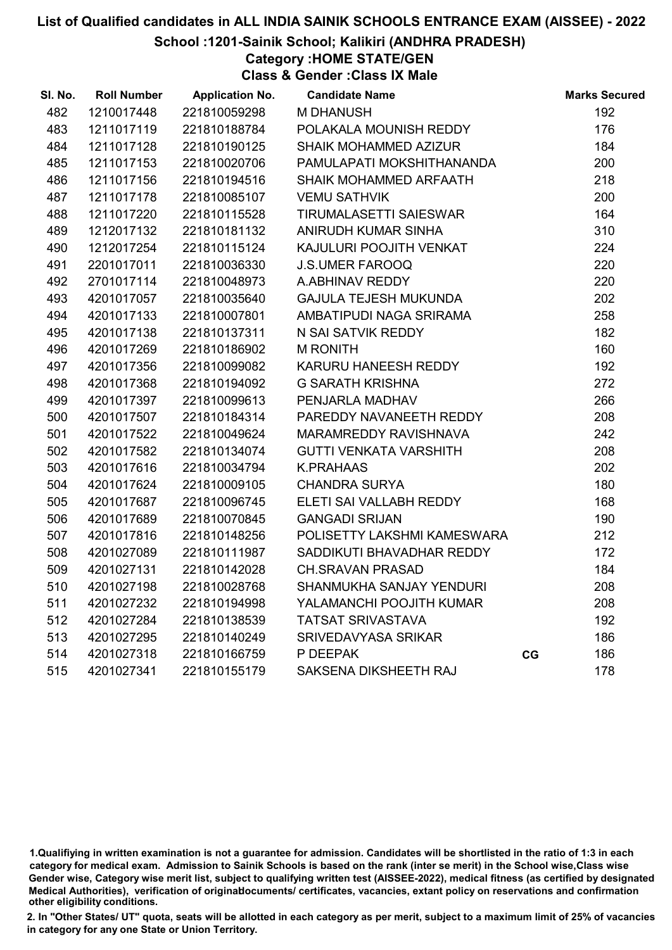#### School :1201-Sainik School; Kalikiri (ANDHRA PRADESH)

Category :HOME STATE/GEN

Class & Gender :Class IX Male

| SI. No. | <b>Roll Number</b> | <b>Application No.</b> | <b>Candidate Name</b>         |    | <b>Marks Secured</b> |
|---------|--------------------|------------------------|-------------------------------|----|----------------------|
| 482     | 1210017448         | 221810059298           | <b>M DHANUSH</b>              |    | 192                  |
| 483     | 1211017119         | 221810188784           | POLAKALA MOUNISH REDDY        |    | 176                  |
| 484     | 1211017128         | 221810190125           | SHAIK MOHAMMED AZIZUR         |    | 184                  |
| 485     | 1211017153         | 221810020706           | PAMULAPATI MOKSHITHANANDA     |    | 200                  |
| 486     | 1211017156         | 221810194516           | SHAIK MOHAMMED ARFAATH        |    | 218                  |
| 487     | 1211017178         | 221810085107           | <b>VEMU SATHVIK</b>           |    | 200                  |
| 488     | 1211017220         | 221810115528           | <b>TIRUMALASETTI SAIESWAR</b> |    | 164                  |
| 489     | 1212017132         | 221810181132           | ANIRUDH KUMAR SINHA           |    | 310                  |
| 490     | 1212017254         | 221810115124           | KAJULURI POOJITH VENKAT       |    | 224                  |
| 491     | 2201017011         | 221810036330           | <b>J.S.UMER FAROOQ</b>        |    | 220                  |
| 492     | 2701017114         | 221810048973           | A.ABHINAV REDDY               |    | 220                  |
| 493     | 4201017057         | 221810035640           | <b>GAJULA TEJESH MUKUNDA</b>  |    | 202                  |
| 494     | 4201017133         | 221810007801           | AMBATIPUDI NAGA SRIRAMA       |    | 258                  |
| 495     | 4201017138         | 221810137311           | N SAI SATVIK REDDY            |    | 182                  |
| 496     | 4201017269         | 221810186902           | <b>M RONITH</b>               |    | 160                  |
| 497     | 4201017356         | 221810099082           | KARURU HANEESH REDDY          |    | 192                  |
| 498     | 4201017368         | 221810194092           | <b>G SARATH KRISHNA</b>       |    | 272                  |
| 499     | 4201017397         | 221810099613           | PENJARLA MADHAV               |    | 266                  |
| 500     | 4201017507         | 221810184314           | PAREDDY NAVANEETH REDDY       |    | 208                  |
| 501     | 4201017522         | 221810049624           | MARAMREDDY RAVISHNAVA         |    | 242                  |
| 502     | 4201017582         | 221810134074           | <b>GUTTI VENKATA VARSHITH</b> |    | 208                  |
| 503     | 4201017616         | 221810034794           | <b>K.PRAHAAS</b>              |    | 202                  |
| 504     | 4201017624         | 221810009105           | <b>CHANDRA SURYA</b>          |    | 180                  |
| 505     | 4201017687         | 221810096745           | ELETI SAI VALLABH REDDY       |    | 168                  |
| 506     | 4201017689         | 221810070845           | <b>GANGADI SRIJAN</b>         |    | 190                  |
| 507     | 4201017816         | 221810148256           | POLISETTY LAKSHMI KAMESWARA   |    | 212                  |
| 508     | 4201027089         | 221810111987           | SADDIKUTI BHAVADHAR REDDY     |    | 172                  |
| 509     | 4201027131         | 221810142028           | <b>CH.SRAVAN PRASAD</b>       |    | 184                  |
| 510     | 4201027198         | 221810028768           | SHANMUKHA SANJAY YENDURI      |    | 208                  |
| 511     | 4201027232         | 221810194998           | YALAMANCHI POOJITH KUMAR      |    | 208                  |
| 512     | 4201027284         | 221810138539           | <b>TATSAT SRIVASTAVA</b>      |    | 192                  |
| 513     | 4201027295         | 221810140249           | <b>SRIVEDAVYASA SRIKAR</b>    |    | 186                  |
| 514     | 4201027318         | 221810166759           | P DEEPAK                      | CG | 186                  |
| 515     | 4201027341         | 221810155179           | SAKSENA DIKSHEETH RAJ         |    | 178                  |

1.Qualifiying in written examination is not a guarantee for admission. Candidates will be shortlisted in the ratio of 1:3 in each category for medical exam. Admission to Sainik Schools is based on the rank (inter se merit) in the School wise,Class wise Gender wise, Category wise merit list, subject to qualifying written test (AISSEE-2022), medical fitness (as certified by designated Medical Authorities), verification of originablocuments/ certificates, vacancies, extant policy on reservations and confirmation other eligibility conditions.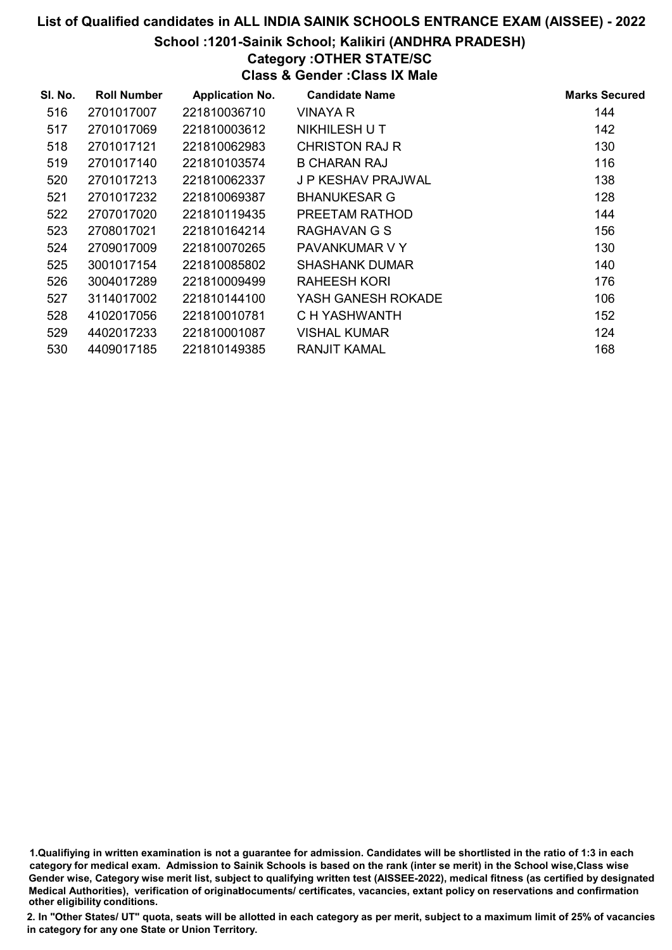#### School :1201-Sainik School; Kalikiri (ANDHRA PRADESH)

# Category :OTHER STATE/SC

Class & Gender :Class IX Male

| SI. No. | <b>Roll Number</b> | <b>Application No.</b> | <b>Candidate Name</b> | <b>Marks Secured</b> |
|---------|--------------------|------------------------|-----------------------|----------------------|
| 516     | 2701017007         | 221810036710           | <b>VINAYA R</b>       | 144                  |
| 517     | 2701017069         | 221810003612           | NIKHILESH U T         | 142                  |
| 518     | 2701017121         | 221810062983           | <b>CHRISTON RAJ R</b> | 130                  |
| 519     | 2701017140         | 221810103574           | <b>B CHARAN RAJ</b>   | 116                  |
| 520     | 2701017213         | 221810062337           | J P KESHAV PRAJWAL    | 138                  |
| 521     | 2701017232         | 221810069387           | <b>BHANUKESAR G</b>   | 128                  |
| 522     | 2707017020         | 221810119435           | PREETAM RATHOD        | 144                  |
| 523     | 2708017021         | 221810164214           | RAGHAVAN G S          | 156                  |
| 524     | 2709017009         | 221810070265           | PAVANKUMAR V Y        | 130                  |
| 525     | 3001017154         | 221810085802           | <b>SHASHANK DUMAR</b> | 140                  |
| 526     | 3004017289         | 221810009499           | RAHEESH KORI          | 176                  |
| 527     | 3114017002         | 221810144100           | YASH GANESH ROKADE    | 106                  |
| 528     | 4102017056         | 221810010781           | C H YASHWANTH         | 152                  |
| 529     | 4402017233         | 221810001087           | <b>VISHAL KUMAR</b>   | 124                  |
| 530     | 4409017185         | 221810149385           | <b>RANJIT KAMAL</b>   | 168                  |

1.Qualifiying in written examination is not a guarantee for admission. Candidates will be shortlisted in the ratio of 1:3 in each category for medical exam. Admission to Sainik Schools is based on the rank (inter se merit) in the School wise,Class wise Gender wise, Category wise merit list, subject to qualifying written test (AISSEE-2022), medical fitness (as certified by designated Medical Authorities), verification of originablocuments/ certificates, vacancies, extant policy on reservations and confirmation other eligibility conditions.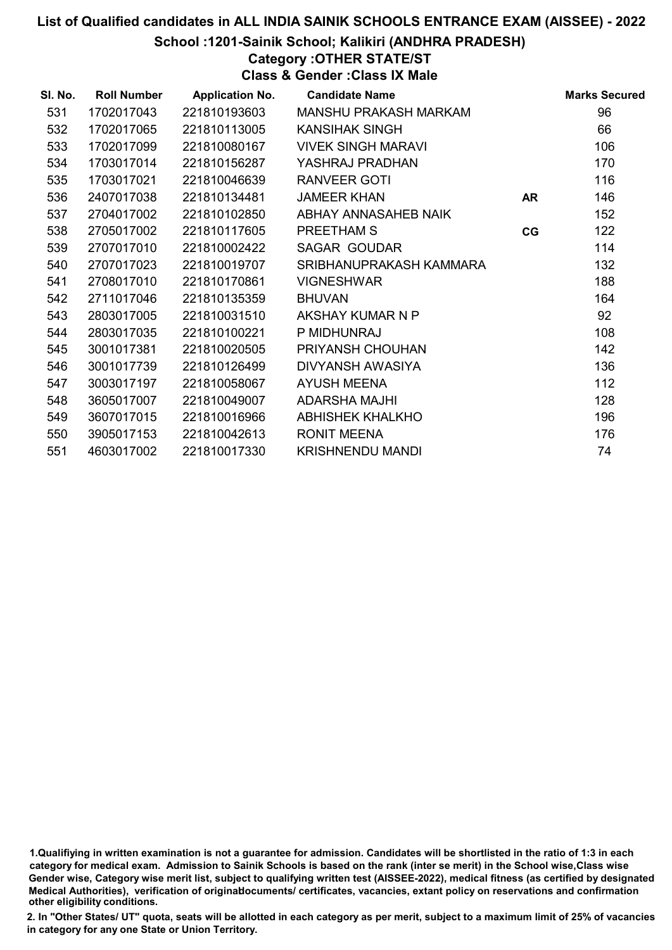School :1201-Sainik School; Kalikiri (ANDHRA PRADESH)

Category :OTHER STATE/ST

Class & Gender :Class IX Male

| SI. No. | <b>Roll Number</b> | <b>Application No.</b> | <b>Candidate Name</b>     |           | <b>Marks Secured</b> |
|---------|--------------------|------------------------|---------------------------|-----------|----------------------|
| 531     | 1702017043         | 221810193603           | MANSHU PRAKASH MARKAM     |           | 96                   |
| 532     | 1702017065         | 221810113005           | <b>KANSIHAK SINGH</b>     |           | 66                   |
| 533     | 1702017099         | 221810080167           | <b>VIVEK SINGH MARAVI</b> |           | 106                  |
| 534     | 1703017014         | 221810156287           | YASHRAJ PRADHAN           |           | 170                  |
| 535     | 1703017021         | 221810046639           | <b>RANVEER GOTI</b>       |           | 116                  |
| 536     | 2407017038         | 221810134481           | <b>JAMEER KHAN</b>        | <b>AR</b> | 146                  |
| 537     | 2704017002         | 221810102850           | ABHAY ANNASAHEB NAIK      |           | 152                  |
| 538     | 2705017002         | 221810117605           | PREETHAM S                | CG        | 122                  |
| 539     | 2707017010         | 221810002422           | <b>SAGAR GOUDAR</b>       |           | 114                  |
| 540     | 2707017023         | 221810019707           | SRIBHANUPRAKASH KAMMARA   |           | 132                  |
| 541     | 2708017010         | 221810170861           | <b>VIGNESHWAR</b>         |           | 188                  |
| 542     | 2711017046         | 221810135359           | <b>BHUVAN</b>             |           | 164                  |
| 543     | 2803017005         | 221810031510           | AKSHAY KUMAR N P          |           | 92                   |
| 544     | 2803017035         | 221810100221           | P MIDHUNRAJ               |           | 108                  |
| 545     | 3001017381         | 221810020505           | PRIYANSH CHOUHAN          |           | 142                  |
| 546     | 3001017739         | 221810126499           | DIVYANSH AWASIYA          |           | 136                  |
| 547     | 3003017197         | 221810058067           | <b>AYUSH MEENA</b>        |           | 112                  |
| 548     | 3605017007         | 221810049007           | ADARSHA MAJHI             |           | 128                  |
| 549     | 3607017015         | 221810016966           | <b>ABHISHEK KHALKHO</b>   |           | 196                  |
| 550     | 3905017153         | 221810042613           | <b>RONIT MEENA</b>        |           | 176                  |
| 551     | 4603017002         | 221810017330           | <b>KRISHNENDU MANDI</b>   |           | 74                   |

<sup>1.</sup>Qualifiying in written examination is not a guarantee for admission. Candidates will be shortlisted in the ratio of 1:3 in each category for medical exam. Admission to Sainik Schools is based on the rank (inter se merit) in the School wise,Class wise Gender wise, Category wise merit list, subject to qualifying written test (AISSEE-2022), medical fitness (as certified by designated Medical Authorities), verification of originablocuments/ certificates, vacancies, extant policy on reservations and confirmation other eligibility conditions.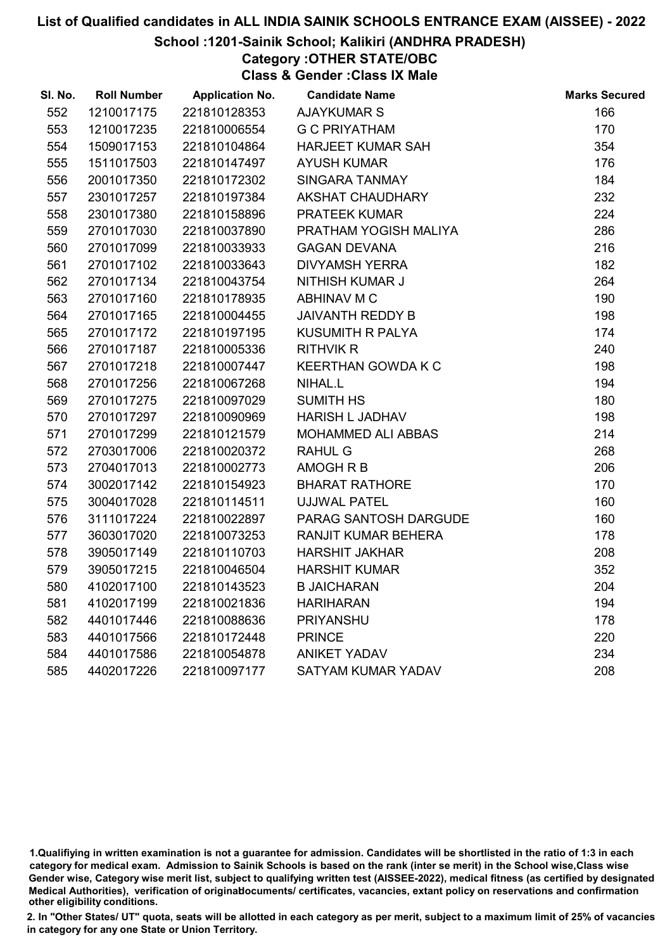#### School :1201-Sainik School; Kalikiri (ANDHRA PRADESH)

Category :OTHER STATE/OBC Class & Gender :Class IX Male

| SI. No. | <b>Roll Number</b> | <b>Application No.</b> | <b>Candidate Name</b>      | <b>Marks Secured</b> |
|---------|--------------------|------------------------|----------------------------|----------------------|
| 552     | 1210017175         | 221810128353           | <b>AJAYKUMAR S</b>         | 166                  |
| 553     | 1210017235         | 221810006554           | <b>G C PRIYATHAM</b>       | 170                  |
| 554     | 1509017153         | 221810104864           | <b>HARJEET KUMAR SAH</b>   | 354                  |
| 555     | 1511017503         | 221810147497           | <b>AYUSH KUMAR</b>         | 176                  |
| 556     | 2001017350         | 221810172302           | <b>SINGARA TANMAY</b>      | 184                  |
| 557     | 2301017257         | 221810197384           | <b>AKSHAT CHAUDHARY</b>    | 232                  |
| 558     | 2301017380         | 221810158896           | <b>PRATEEK KUMAR</b>       | 224                  |
| 559     | 2701017030         | 221810037890           | PRATHAM YOGISH MALIYA      | 286                  |
| 560     | 2701017099         | 221810033933           | <b>GAGAN DEVANA</b>        | 216                  |
| 561     | 2701017102         | 221810033643           | <b>DIVYAMSH YERRA</b>      | 182                  |
| 562     | 2701017134         | 221810043754           | <b>NITHISH KUMAR J</b>     | 264                  |
| 563     | 2701017160         | 221810178935           | ABHINAV M C                | 190                  |
| 564     | 2701017165         | 221810004455           | <b>JAIVANTH REDDY B</b>    | 198                  |
| 565     | 2701017172         | 221810197195           | <b>KUSUMITH R PALYA</b>    | 174                  |
| 566     | 2701017187         | 221810005336           | <b>RITHVIK R</b>           | 240                  |
| 567     | 2701017218         | 221810007447           | <b>KEERTHAN GOWDA K C</b>  | 198                  |
| 568     | 2701017256         | 221810067268           | NIHAL.L                    | 194                  |
| 569     | 2701017275         | 221810097029           | <b>SUMITH HS</b>           | 180                  |
| 570     | 2701017297         | 221810090969           | <b>HARISH L JADHAV</b>     | 198                  |
| 571     | 2701017299         | 221810121579           | MOHAMMED ALI ABBAS         | 214                  |
| 572     | 2703017006         | 221810020372           | <b>RAHUL G</b>             | 268                  |
| 573     | 2704017013         | 221810002773           | AMOGH R B                  | 206                  |
| 574     | 3002017142         | 221810154923           | <b>BHARAT RATHORE</b>      | 170                  |
| 575     | 3004017028         | 221810114511           | <b>UJJWAL PATEL</b>        | 160                  |
| 576     | 3111017224         | 221810022897           | PARAG SANTOSH DARGUDE      | 160                  |
| 577     | 3603017020         | 221810073253           | <b>RANJIT KUMAR BEHERA</b> | 178                  |
| 578     | 3905017149         | 221810110703           | <b>HARSHIT JAKHAR</b>      | 208                  |
| 579     | 3905017215         | 221810046504           | <b>HARSHIT KUMAR</b>       | 352                  |
| 580     | 4102017100         | 221810143523           | <b>B JAICHARAN</b>         | 204                  |
| 581     | 4102017199         | 221810021836           | <b>HARIHARAN</b>           | 194                  |
| 582     | 4401017446         | 221810088636           | <b>PRIYANSHU</b>           | 178                  |
| 583     | 4401017566         | 221810172448           | <b>PRINCE</b>              | 220                  |
| 584     | 4401017586         | 221810054878           | <b>ANIKET YADAV</b>        | 234                  |
| 585     | 4402017226         | 221810097177           | SATYAM KUMAR YADAV         | 208                  |

1.Qualifiying in written examination is not a guarantee for admission. Candidates will be shortlisted in the ratio of 1:3 in each category for medical exam. Admission to Sainik Schools is based on the rank (inter se merit) in the School wise,Class wise Gender wise, Category wise merit list, subject to qualifying written test (AISSEE-2022), medical fitness (as certified by designated Medical Authorities), verification of originablocuments/ certificates, vacancies, extant policy on reservations and confirmation other eligibility conditions.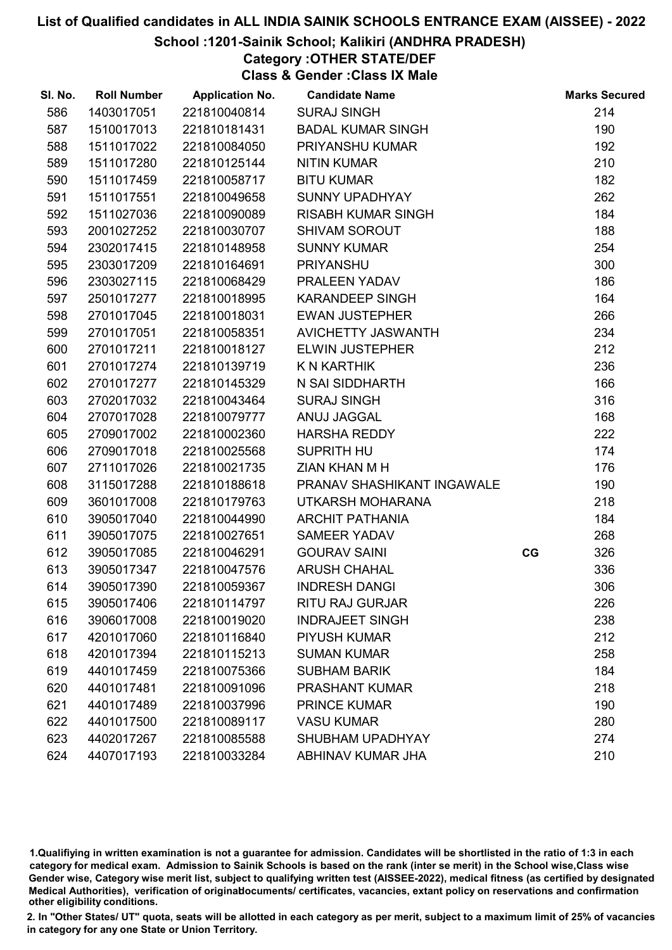#### School :1201-Sainik School; Kalikiri (ANDHRA PRADESH)

Category :OTHER STATE/DEF Class & Gender :Class IX Male

| SI. No. | <b>Roll Number</b> | <b>Application No.</b> | <b>Candidate Name</b>      |    | <b>Marks Secured</b> |
|---------|--------------------|------------------------|----------------------------|----|----------------------|
| 586     | 1403017051         | 221810040814           | <b>SURAJ SINGH</b>         |    | 214                  |
| 587     | 1510017013         | 221810181431           | <b>BADAL KUMAR SINGH</b>   |    | 190                  |
| 588     | 1511017022         | 221810084050           | PRIYANSHU KUMAR            |    | 192                  |
| 589     | 1511017280         | 221810125144           | <b>NITIN KUMAR</b>         |    | 210                  |
| 590     | 1511017459         | 221810058717           | <b>BITU KUMAR</b>          |    | 182                  |
| 591     | 1511017551         | 221810049658           | <b>SUNNY UPADHYAY</b>      |    | 262                  |
| 592     | 1511027036         | 221810090089           | <b>RISABH KUMAR SINGH</b>  |    | 184                  |
| 593     | 2001027252         | 221810030707           | <b>SHIVAM SOROUT</b>       |    | 188                  |
| 594     | 2302017415         | 221810148958           | <b>SUNNY KUMAR</b>         |    | 254                  |
| 595     | 2303017209         | 221810164691           | <b>PRIYANSHU</b>           |    | 300                  |
| 596     | 2303027115         | 221810068429           | PRALEEN YADAV              |    | 186                  |
| 597     | 2501017277         | 221810018995           | <b>KARANDEEP SINGH</b>     |    | 164                  |
| 598     | 2701017045         | 221810018031           | <b>EWAN JUSTEPHER</b>      |    | 266                  |
| 599     | 2701017051         | 221810058351           | AVICHETTY JASWANTH         |    | 234                  |
| 600     | 2701017211         | 221810018127           | <b>ELWIN JUSTEPHER</b>     |    | 212                  |
| 601     | 2701017274         | 221810139719           | K N KARTHIK                |    | 236                  |
| 602     | 2701017277         | 221810145329           | N SAI SIDDHARTH            |    | 166                  |
| 603     | 2702017032         | 221810043464           | <b>SURAJ SINGH</b>         |    | 316                  |
| 604     | 2707017028         | 221810079777           | ANUJ JAGGAL                |    | 168                  |
| 605     | 2709017002         | 221810002360           | <b>HARSHA REDDY</b>        |    | 222                  |
| 606     | 2709017018         | 221810025568           | <b>SUPRITH HU</b>          |    | 174                  |
| 607     | 2711017026         | 221810021735           | ZIAN KHAN M H              |    | 176                  |
| 608     | 3115017288         | 221810188618           | PRANAV SHASHIKANT INGAWALE |    | 190                  |
| 609     | 3601017008         | 221810179763           | UTKARSH MOHARANA           |    | 218                  |
| 610     | 3905017040         | 221810044990           | <b>ARCHIT PATHANIA</b>     |    | 184                  |
| 611     | 3905017075         | 221810027651           | <b>SAMEER YADAV</b>        |    | 268                  |
| 612     | 3905017085         | 221810046291           | <b>GOURAV SAINI</b>        | CG | 326                  |
| 613     | 3905017347         | 221810047576           | <b>ARUSH CHAHAL</b>        |    | 336                  |
| 614     | 3905017390         | 221810059367           | <b>INDRESH DANGI</b>       |    | 306                  |
| 615     | 3905017406         | 221810114797           | <b>RITU RAJ GURJAR</b>     |    | 226                  |
| 616     | 3906017008         | 221810019020           | <b>INDRAJEET SINGH</b>     |    | 238                  |
| 617     | 4201017060         | 221810116840           | <b>PIYUSH KUMAR</b>        |    | 212                  |
| 618     | 4201017394         | 221810115213           | <b>SUMAN KUMAR</b>         |    | 258                  |
| 619     | 4401017459         | 221810075366           | <b>SUBHAM BARIK</b>        |    | 184                  |
| 620     | 4401017481         | 221810091096           | <b>PRASHANT KUMAR</b>      |    | 218                  |
| 621     | 4401017489         | 221810037996           | <b>PRINCE KUMAR</b>        |    | 190                  |
| 622     | 4401017500         | 221810089117           | <b>VASU KUMAR</b>          |    | 280                  |
| 623     | 4402017267         | 221810085588           | SHUBHAM UPADHYAY           |    | 274                  |
| 624     | 4407017193         | 221810033284           | ABHINAV KUMAR JHA          |    | 210                  |

1.Qualifiying in written examination is not a guarantee for admission. Candidates will be shortlisted in the ratio of 1:3 in each category for medical exam. Admission to Sainik Schools is based on the rank (inter se merit) in the School wise,Class wise Gender wise, Category wise merit list, subject to qualifying written test (AISSEE-2022), medical fitness (as certified by designated Medical Authorities), verification of originablocuments/ certificates, vacancies, extant policy on reservations and confirmation other eligibility conditions.